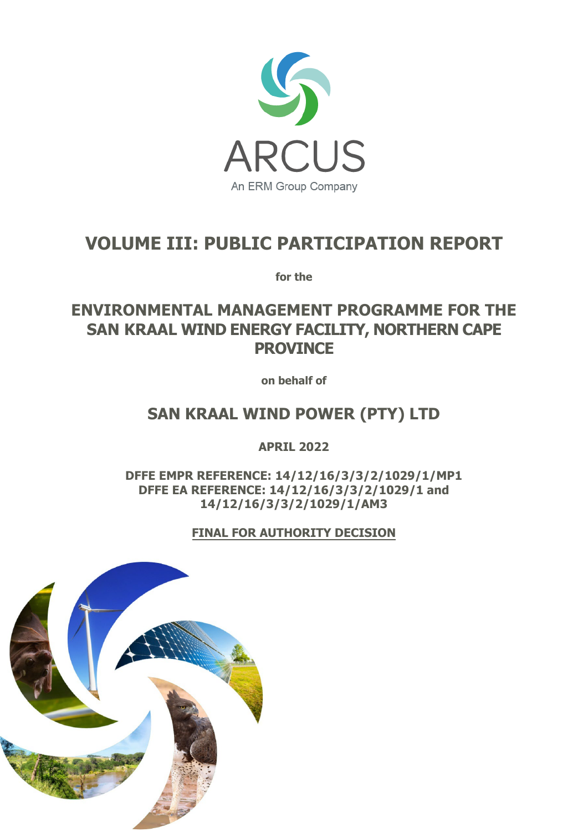

# **VOLUME III: PUBLIC PARTICIPATION REPORT**

**for the**

**ENVIRONMENTAL MANAGEMENT PROGRAMME FOR THE SAN KRAAL WIND ENERGY FACILITY, NORTHERN CAPE PROVINCE**

**on behalf of**

# **SAN KRAAL WIND POWER (PTY) LTD**

**APRIL 2022** 

**DFFE EMPR REFERENCE: 14/12/16/3/3/2/1029/1/MP1 DFFE EA REFERENCE: 14/12/16/3/3/2/1029/1 and 14/12/16/3/3/2/1029/1/AM3** 

**FINAL FOR AUTHORITY DECISION**

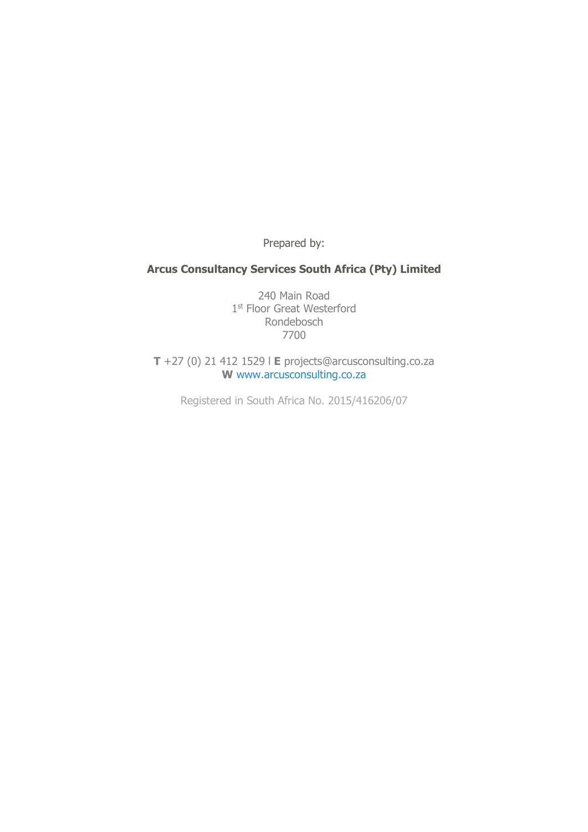Prepared by:

# **Arcus Consultancy Services South Africa (Pty) Limited**

240 Main Road 1st Floor Great Westerford Rondebosch 7700

**T** +27 (0) 21 412 1529 l **E** projects@arcusconsulting.co.za **W** www.arcusconsulting.co.za

Registered in South Africa No. 2015/416206/07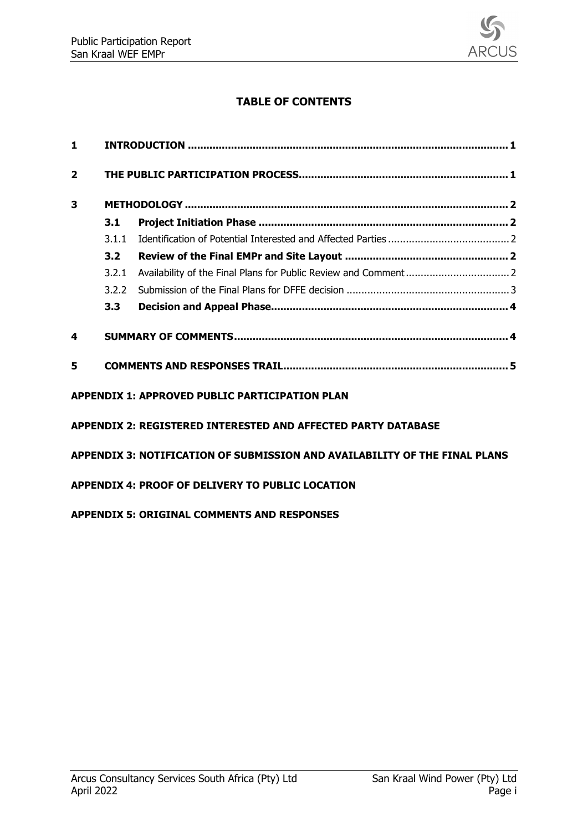

# **TABLE OF CONTENTS**

| 1                                                  |       |                                                                            |  |  |  |  |
|----------------------------------------------------|-------|----------------------------------------------------------------------------|--|--|--|--|
| $\overline{2}$                                     |       |                                                                            |  |  |  |  |
| 3                                                  |       |                                                                            |  |  |  |  |
|                                                    | 3.1   |                                                                            |  |  |  |  |
|                                                    | 3.1.1 |                                                                            |  |  |  |  |
|                                                    | 3.2   |                                                                            |  |  |  |  |
|                                                    | 3.2.1 |                                                                            |  |  |  |  |
|                                                    | 3.2.2 |                                                                            |  |  |  |  |
|                                                    | 3.3   |                                                                            |  |  |  |  |
| 4                                                  |       |                                                                            |  |  |  |  |
| 5                                                  |       |                                                                            |  |  |  |  |
|                                                    |       | <b>APPENDIX 1: APPROVED PUBLIC PARTICIPATION PLAN</b>                      |  |  |  |  |
|                                                    |       | <b>APPENDIX 2: REGISTERED INTERESTED AND AFFECTED PARTY DATABASE</b>       |  |  |  |  |
|                                                    |       | APPENDIX 3: NOTIFICATION OF SUBMISSION AND AVAILABILITY OF THE FINAL PLANS |  |  |  |  |
|                                                    |       | APPENDIX 4: PROOF OF DELIVERY TO PUBLIC LOCATION                           |  |  |  |  |
| <b>APPENDIX 5: ORIGINAL COMMENTS AND RESPONSES</b> |       |                                                                            |  |  |  |  |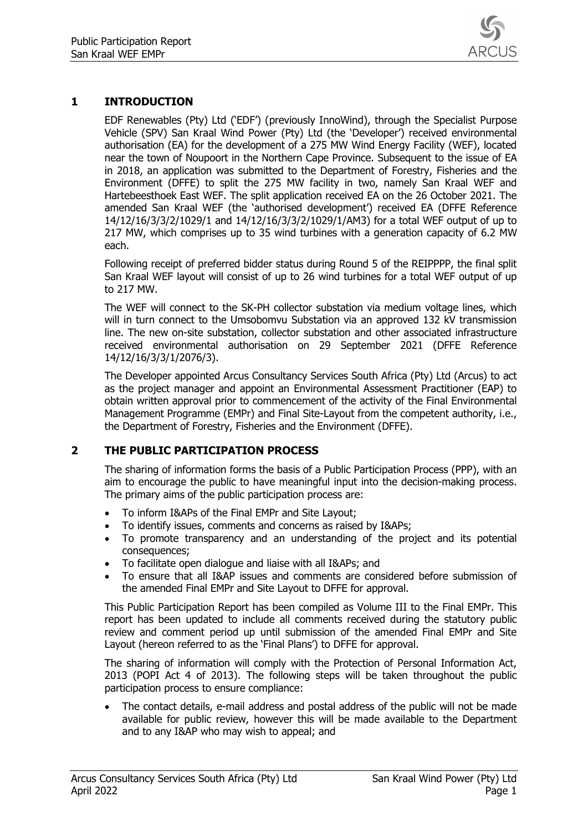

# <span id="page-3-0"></span>**1 INTRODUCTION**

EDF Renewables (Pty) Ltd ('EDF') (previously InnoWind), through the Specialist Purpose Vehicle (SPV) San Kraal Wind Power (Pty) Ltd (the 'Developer') received environmental authorisation (EA) for the development of a 275 MW Wind Energy Facility (WEF), located near the town of Noupoort in the Northern Cape Province. Subsequent to the issue of EA in 2018, an application was submitted to the Department of Forestry, Fisheries and the Environment (DFFE) to split the 275 MW facility in two, namely San Kraal WEF and Hartebeesthoek East WEF. The split application received EA on the 26 October 2021. The amended San Kraal WEF (the 'authorised development') received EA (DFFE Reference 14/12/16/3/3/2/1029/1 and 14/12/16/3/3/2/1029/1/AM3) for a total WEF output of up to 217 MW, which comprises up to 35 wind turbines with a generation capacity of 6.2 MW each.

Following receipt of preferred bidder status during Round 5 of the REIPPPP, the final split San Kraal WEF layout will consist of up to 26 wind turbines for a total WEF output of up to 217 MW.

The WEF will connect to the SK-PH collector substation via medium voltage lines, which will in turn connect to the Umsobomvu Substation via an approved 132 kV transmission line. The new on-site substation, collector substation and other associated infrastructure received environmental authorisation on 29 September 2021 (DFFE Reference 14/12/16/3/3/1/2076/3).

The Developer appointed Arcus Consultancy Services South Africa (Pty) Ltd (Arcus) to act as the project manager and appoint an Environmental Assessment Practitioner (EAP) to obtain written approval prior to commencement of the activity of the Final Environmental Management Programme (EMPr) and Final Site-Layout from the competent authority, i.e., the Department of Forestry, Fisheries and the Environment (DFFE).

## <span id="page-3-1"></span>**2 THE PUBLIC PARTICIPATION PROCESS**

The sharing of information forms the basis of a Public Participation Process (PPP), with an aim to encourage the public to have meaningful input into the decision-making process. The primary aims of the public participation process are:

- To inform I&APs of the Final EMPr and Site Layout;
- To identify issues, comments and concerns as raised by I&APs;
- To promote transparency and an understanding of the project and its potential consequences;
- To facilitate open dialogue and liaise with all I&APs; and
- To ensure that all I&AP issues and comments are considered before submission of the amended Final EMPr and Site Layout to DFFE for approval.

This Public Participation Report has been compiled as Volume III to the Final EMPr. This report has been updated to include all comments received during the statutory public review and comment period up until submission of the amended Final EMPr and Site Layout (hereon referred to as the 'Final Plans') to DFFE for approval.

The sharing of information will comply with the Protection of Personal Information Act, 2013 (POPI Act 4 of 2013). The following steps will be taken throughout the public participation process to ensure compliance:

• The contact details, e-mail address and postal address of the public will not be made available for public review, however this will be made available to the Department and to any I&AP who may wish to appeal; and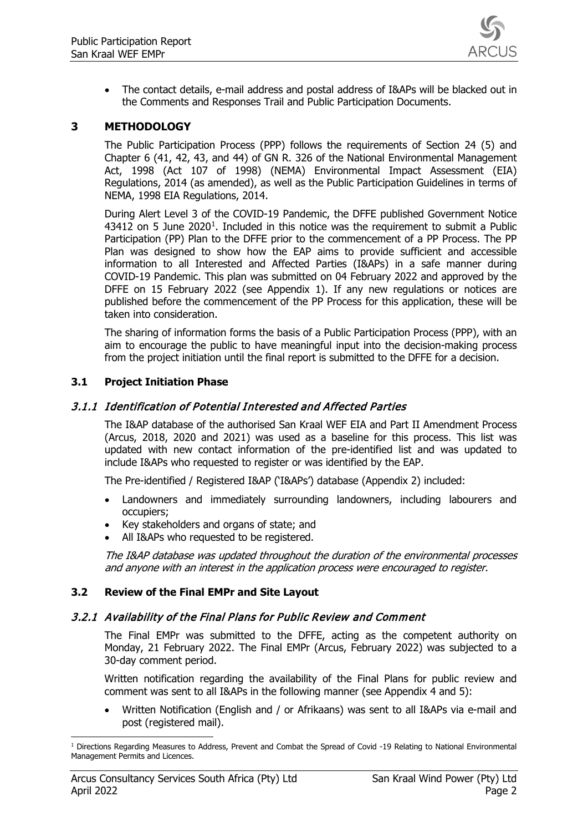

• The contact details, e-mail address and postal address of I&APs will be blacked out in the Comments and Responses Trail and Public Participation Documents.

#### <span id="page-4-0"></span>**3 METHODOLOGY**

The Public Participation Process (PPP) follows the requirements of Section 24 (5) and Chapter 6 (41, 42, 43, and 44) of GN R. 326 of the National Environmental Management Act, 1998 (Act 107 of 1998) (NEMA) Environmental Impact Assessment (EIA) Regulations, 2014 (as amended), as well as the Public Participation Guidelines in terms of NEMA, 1998 EIA Regulations, 2014.

During Alert Level 3 of the COVID-19 Pandemic, the DFFE published Government Notice 434[1](#page-4-5)2 on 5 June 2020<sup>1</sup>. Included in this notice was the requirement to submit a Public Participation (PP) Plan to the DFFE prior to the commencement of a PP Process. The PP Plan was designed to show how the EAP aims to provide sufficient and accessible information to all Interested and Affected Parties (I&APs) in a safe manner during COVID-19 Pandemic. This plan was submitted on 04 February 2022 and approved by the DFFE on 15 February 2022 (see Appendix 1). If any new regulations or notices are published before the commencement of the PP Process for this application, these will be taken into consideration.

The sharing of information forms the basis of a Public Participation Process (PPP), with an aim to encourage the public to have meaningful input into the decision-making process from the project initiation until the final report is submitted to the DFFE for a decision.

#### <span id="page-4-1"></span>**3.1 Project Initiation Phase**

#### <span id="page-4-2"></span>3.1.1 Identification of Potential Interested and Affected Parties

The I&AP database of the authorised San Kraal WEF EIA and Part II Amendment Process (Arcus, 2018, 2020 and 2021) was used as a baseline for this process. This list was updated with new contact information of the pre-identified list and was updated to include I&APs who requested to register or was identified by the EAP.

The Pre-identified / Registered I&AP ('I&APs') database (Appendix 2) included:

- Landowners and immediately surrounding landowners, including labourers and occupiers;
- Key stakeholders and organs of state; and
- All I&APs who requested to be registered.

The I&AP database was updated throughout the duration of the environmental processes and anyone with an interest in the application process were encouraged to register.

#### <span id="page-4-3"></span>**3.2 Review of the Final EMPr and Site Layout**

#### <span id="page-4-4"></span>3.2.1 Availability of the Final Plans for Public Review and Comment

The Final EMPr was submitted to the DFFE, acting as the competent authority on Monday, 21 February 2022. The Final EMPr (Arcus, February 2022) was subjected to a 30-day comment period.

Written notification regarding the availability of the Final Plans for public review and comment was sent to all I&APs in the following manner (see Appendix 4 and 5):

• Written Notification (English and / or Afrikaans) was sent to all I&APs via e-mail and post (registered mail).

<span id="page-4-5"></span><sup>&</sup>lt;sup>1</sup> Directions Regarding Measures to Address, Prevent and Combat the Spread of Covid -19 Relating to National Environmental Management Permits and Licences.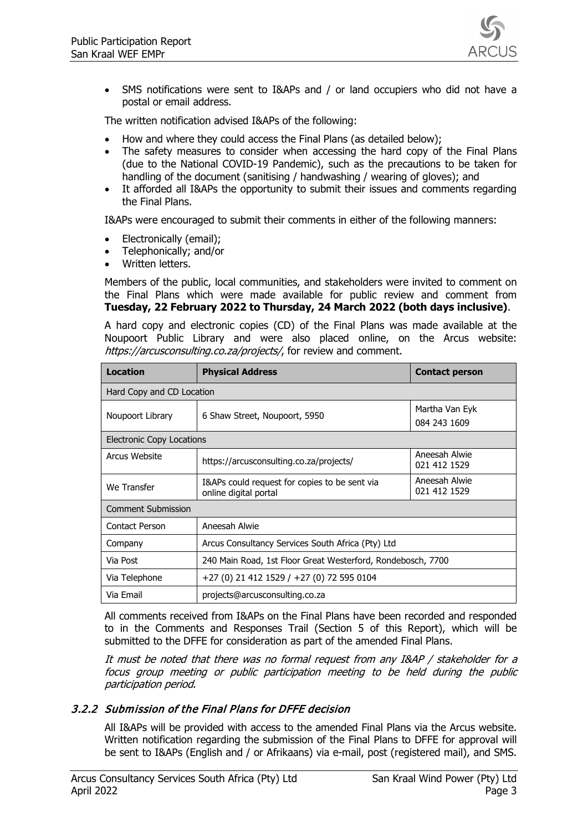

• SMS notifications were sent to I&APs and / or land occupiers who did not have a postal or email address.

The written notification advised I&APs of the following:

- How and where they could access the Final Plans (as detailed below);
- The safety measures to consider when accessing the hard copy of the Final Plans (due to the National COVID-19 Pandemic), such as the precautions to be taken for handling of the document (sanitising / handwashing / wearing of gloves); and
- It afforded all I&APs the opportunity to submit their issues and comments regarding the Final Plans.

I&APs were encouraged to submit their comments in either of the following manners:

- Electronically (email);
- Telephonically; and/or
- Written letters.

Members of the public, local communities, and stakeholders were invited to comment on the Final Plans which were made available for public review and comment from **Tuesday, 22 February 2022 to Thursday, 24 March 2022 (both days inclusive)**.

A hard copy and electronic copies (CD) of the Final Plans was made available at the Noupoort Public Library and were also placed online, on the Arcus website: https://arcusconsulting.co.za/projects/, for review and comment.

| <b>Location</b><br><b>Physical Address</b> |                                                                        | <b>Contact person</b>          |  |  |  |  |
|--------------------------------------------|------------------------------------------------------------------------|--------------------------------|--|--|--|--|
|                                            | Hard Copy and CD Location                                              |                                |  |  |  |  |
| Noupoort Library                           | 6 Shaw Street, Noupoort, 5950                                          | Martha Van Eyk<br>084 243 1609 |  |  |  |  |
| <b>Electronic Copy Locations</b>           |                                                                        |                                |  |  |  |  |
| Arcus Website                              | https://arcusconsulting.co.za/projects/                                | Aneesah Alwie<br>021 412 1529  |  |  |  |  |
| We Transfer                                | I&APs could request for copies to be sent via<br>online digital portal | Aneesah Alwie<br>021 412 1529  |  |  |  |  |
| <b>Comment Submission</b>                  |                                                                        |                                |  |  |  |  |
| Contact Person                             | Aneesah Alwie                                                          |                                |  |  |  |  |
| Company                                    | Arcus Consultancy Services South Africa (Pty) Ltd                      |                                |  |  |  |  |
| Via Post                                   | 240 Main Road, 1st Floor Great Westerford, Rondebosch, 7700            |                                |  |  |  |  |
| Via Telephone                              | +27 (0) 21 412 1529 / +27 (0) 72 595 0104                              |                                |  |  |  |  |
| Via Email                                  | projects@arcusconsulting.co.za                                         |                                |  |  |  |  |

All comments received from I&APs on the Final Plans have been recorded and responded to in the Comments and Responses Trail (Section 5 of this Report), which will be submitted to the DFFE for consideration as part of the amended Final Plans.

It must be noted that there was no formal request from any I&AP / stakeholder for a focus group meeting or public participation meeting to be held during the public participation period.

#### <span id="page-5-0"></span>3.2.2 Submission of the Final Plans for DFFE decision

All I&APs will be provided with access to the amended Final Plans via the Arcus website. Written notification regarding the submission of the Final Plans to DFFE for approval will be sent to I&APs (English and / or Afrikaans) via e-mail, post (registered mail), and SMS.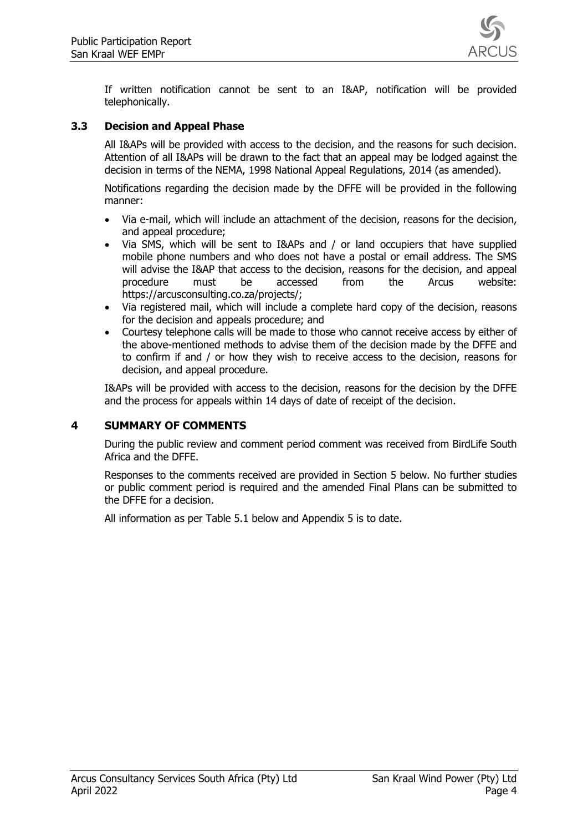

If written notification cannot be sent to an I&AP, notification will be provided telephonically.

#### <span id="page-6-0"></span>**3.3 Decision and Appeal Phase**

All I&APs will be provided with access to the decision, and the reasons for such decision. Attention of all I&APs will be drawn to the fact that an appeal may be lodged against the decision in terms of the NEMA, 1998 National Appeal Regulations, 2014 (as amended).

Notifications regarding the decision made by the DFFE will be provided in the following manner:

- Via e-mail, which will include an attachment of the decision, reasons for the decision, and appeal procedure;
- Via SMS, which will be sent to I&APs and / or land occupiers that have supplied mobile phone numbers and who does not have a postal or email address. The SMS will advise the I&AP that access to the decision, reasons for the decision, and appeal procedure must be accessed from the Arcus website: https://arcusconsulting.co.za/projects/;
- Via registered mail, which will include a complete hard copy of the decision, reasons for the decision and appeals procedure; and
- Courtesy telephone calls will be made to those who cannot receive access by either of the above-mentioned methods to advise them of the decision made by the DFFE and to confirm if and / or how they wish to receive access to the decision, reasons for decision, and appeal procedure.

I&APs will be provided with access to the decision, reasons for the decision by the DFFE and the process for appeals within 14 days of date of receipt of the decision.

## <span id="page-6-1"></span>**4 SUMMARY OF COMMENTS**

During the public review and comment period comment was received from BirdLife South Africa and the DFFE.

Responses to the comments received are provided in Section 5 below. No further studies or public comment period is required and the amended Final Plans can be submitted to the DFFE for a decision.

All information as per Table 5.1 below and Appendix 5 is to date.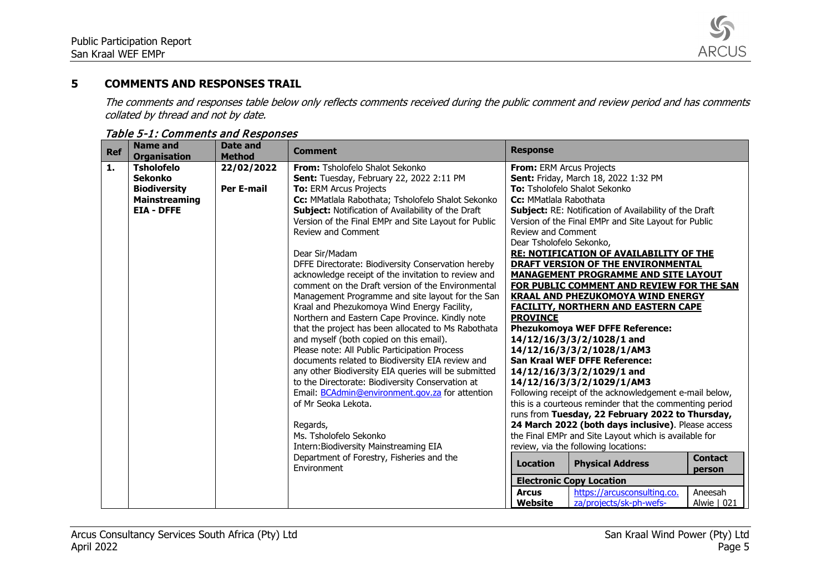

# **5 COMMENTS AND RESPONSES TRAIL**

The comments and responses table below only reflects comments received during the public comment and review period and has comments collated by thread and not by date.

<span id="page-7-0"></span>

| <b>Ref</b>     | <b>Name and</b><br><b>Organisation</b> | <b>Date and</b><br><b>Method</b> | <b>Comment</b>                                                                                         | <b>Response</b>                                               |
|----------------|----------------------------------------|----------------------------------|--------------------------------------------------------------------------------------------------------|---------------------------------------------------------------|
| $\mathbf{1}$ . | <b>Tsholofelo</b>                      | 22/02/2022                       | From: Tsholofelo Shalot Sekonko                                                                        | From: ERM Arcus Projects                                      |
|                | <b>Sekonko</b>                         |                                  | Sent: Tuesday, February 22, 2022 2:11 PM                                                               | Sent: Friday, March 18, 2022 1:32 PM                          |
|                | <b>Biodiversity</b>                    | <b>Per E-mail</b>                | <b>To: ERM Arcus Projects</b>                                                                          | To: Tsholofelo Shalot Sekonko                                 |
|                | <b>Mainstreaming</b>                   |                                  | Cc: MMatlala Rabothata; Tsholofelo Shalot Sekonko                                                      | Cc: MMatlala Rabothata                                        |
|                | <b>EIA - DFFE</b>                      |                                  | Subject: Notification of Availability of the Draft                                                     | <b>Subject: RE: Notification of Availability of the Draft</b> |
|                |                                        |                                  | Version of the Final EMPr and Site Layout for Public                                                   | Version of the Final EMPr and Site Layout for Public          |
|                |                                        |                                  | Review and Comment                                                                                     | <b>Review and Comment</b>                                     |
|                |                                        |                                  |                                                                                                        | Dear Tsholofelo Sekonko,                                      |
|                |                                        |                                  | Dear Sir/Madam                                                                                         | <b>RE: NOTIFICATION OF AVAILABILITY OF THE</b>                |
|                |                                        |                                  | DFFE Directorate: Biodiversity Conservation hereby                                                     | DRAFT VERSION OF THE ENVIRONMENTAL                            |
|                |                                        |                                  | acknowledge receipt of the invitation to review and                                                    | <b>MANAGEMENT PROGRAMME AND SITE LAYOUT</b>                   |
|                |                                        |                                  | comment on the Draft version of the Environmental                                                      | FOR PUBLIC COMMENT AND REVIEW FOR THE SAN                     |
|                |                                        |                                  | Management Programme and site layout for the San                                                       | <b>KRAAL AND PHEZUKOMOYA WIND ENERGY</b>                      |
|                |                                        |                                  | Kraal and Phezukomoya Wind Energy Facility,                                                            | <b>FACILITY, NORTHERN AND EASTERN CAPE</b><br><b>PROVINCE</b> |
|                |                                        |                                  | Northern and Eastern Cape Province. Kindly note<br>that the project has been allocated to Ms Rabothata | <b>Phezukomoya WEF DFFE Reference:</b>                        |
|                |                                        |                                  | and myself (both copied on this email).                                                                | 14/12/16/3/3/2/1028/1 and                                     |
|                |                                        |                                  | Please note: All Public Participation Process                                                          | 14/12/16/3/3/2/1028/1/AM3                                     |
|                |                                        |                                  | documents related to Biodiversity EIA review and                                                       | <b>San Kraal WEF DFFE Reference:</b>                          |
|                |                                        |                                  | any other Biodiversity EIA queries will be submitted                                                   | 14/12/16/3/3/2/1029/1 and                                     |
|                |                                        |                                  | to the Directorate: Biodiversity Conservation at                                                       | 14/12/16/3/3/2/1029/1/AM3                                     |
|                |                                        |                                  | Email: BCAdmin@environment.gov.za for attention                                                        | Following receipt of the acknowledgement e-mail below,        |
|                |                                        |                                  | of Mr Seoka Lekota.                                                                                    | this is a courteous reminder that the commenting period       |
|                |                                        |                                  |                                                                                                        | runs from Tuesday, 22 February 2022 to Thursday,              |
|                |                                        |                                  | Regards,                                                                                               | 24 March 2022 (both days inclusive). Please access            |
|                |                                        |                                  | Ms. Tsholofelo Sekonko                                                                                 | the Final EMPr and Site Layout which is available for         |
|                |                                        |                                  | Intern: Biodiversity Mainstreaming EIA                                                                 | review, via the following locations:                          |
|                |                                        |                                  | Department of Forestry, Fisheries and the                                                              | <b>Contact</b>                                                |
|                |                                        |                                  | Environment                                                                                            | <b>Physical Address</b><br><b>Location</b><br>person          |
|                |                                        |                                  |                                                                                                        | <b>Electronic Copy Location</b>                               |
|                |                                        |                                  |                                                                                                        | https://arcusconsulting.co.<br>Aneesah<br><b>Arcus</b>        |
|                |                                        |                                  |                                                                                                        | Website<br>za/projects/sk-ph-wefs-<br>Alwie   021             |

#### Table 5-1: Comments and Responses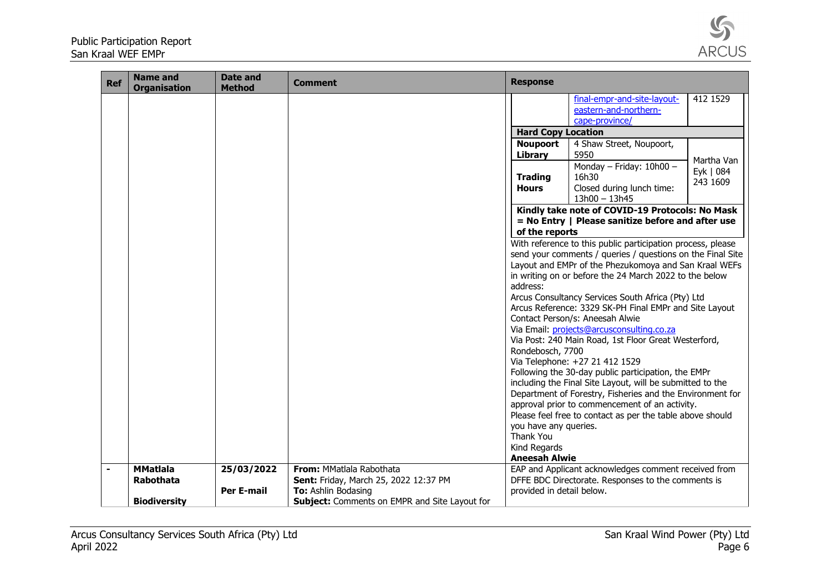

| <b>Ref</b>     | <b>Name and</b><br><b>Organisation</b> | <b>Date and</b><br><b>Method</b> | <b>Comment</b>                                       | <b>Response</b>                                       |                                                                                                                                                                                                                                                                                                                                                                                                                                                                                                                                                                                                                                                                                                                                                                                                                                       |                                     |
|----------------|----------------------------------------|----------------------------------|------------------------------------------------------|-------------------------------------------------------|---------------------------------------------------------------------------------------------------------------------------------------------------------------------------------------------------------------------------------------------------------------------------------------------------------------------------------------------------------------------------------------------------------------------------------------------------------------------------------------------------------------------------------------------------------------------------------------------------------------------------------------------------------------------------------------------------------------------------------------------------------------------------------------------------------------------------------------|-------------------------------------|
|                |                                        |                                  |                                                      |                                                       | final-empr-and-site-layout-<br>eastern-and-northern-                                                                                                                                                                                                                                                                                                                                                                                                                                                                                                                                                                                                                                                                                                                                                                                  | 412 1529                            |
|                |                                        |                                  |                                                      |                                                       | cape-province/                                                                                                                                                                                                                                                                                                                                                                                                                                                                                                                                                                                                                                                                                                                                                                                                                        |                                     |
|                |                                        |                                  |                                                      | <b>Hard Copy Location</b>                             |                                                                                                                                                                                                                                                                                                                                                                                                                                                                                                                                                                                                                                                                                                                                                                                                                                       |                                     |
|                |                                        |                                  |                                                      | <b>Noupoort</b><br>Library                            | 4 Shaw Street, Noupoort,<br>5950                                                                                                                                                                                                                                                                                                                                                                                                                                                                                                                                                                                                                                                                                                                                                                                                      |                                     |
|                |                                        |                                  |                                                      | <b>Trading</b><br><b>Hours</b>                        | Monday - Friday: 10h00 -<br>16h30<br>Closed during lunch time:<br>$13h00 - 13h45$                                                                                                                                                                                                                                                                                                                                                                                                                                                                                                                                                                                                                                                                                                                                                     | Martha Van<br>Eyk   084<br>243 1609 |
|                |                                        |                                  |                                                      | of the reports                                        | Kindly take note of COVID-19 Protocols: No Mask<br>= No Entry   Please sanitize before and after use                                                                                                                                                                                                                                                                                                                                                                                                                                                                                                                                                                                                                                                                                                                                  |                                     |
|                |                                        |                                  |                                                      | address:<br>Rondebosch, 7700<br>you have any queries. | With reference to this public participation process, please<br>send your comments / queries / questions on the Final Site<br>Layout and EMPr of the Phezukomoya and San Kraal WEFs<br>in writing on or before the 24 March 2022 to the below<br>Arcus Consultancy Services South Africa (Pty) Ltd<br>Arcus Reference: 3329 SK-PH Final EMPr and Site Layout<br>Contact Person/s: Aneesah Alwie<br>Via Email: projects@arcusconsulting.co.za<br>Via Post: 240 Main Road, 1st Floor Great Westerford,<br>Via Telephone: +27 21 412 1529<br>Following the 30-day public participation, the EMPr<br>including the Final Site Layout, will be submitted to the<br>Department of Forestry, Fisheries and the Environment for<br>approval prior to commencement of an activity.<br>Please feel free to contact as per the table above should |                                     |
|                |                                        |                                  |                                                      | Thank You<br>Kind Regards                             |                                                                                                                                                                                                                                                                                                                                                                                                                                                                                                                                                                                                                                                                                                                                                                                                                                       |                                     |
|                |                                        |                                  |                                                      | <b>Aneesah Alwie</b>                                  |                                                                                                                                                                                                                                                                                                                                                                                                                                                                                                                                                                                                                                                                                                                                                                                                                                       |                                     |
| $\blacksquare$ | <b>MMatlala</b>                        | 25/03/2022                       | From: MMatlala Rabothata                             |                                                       | EAP and Applicant acknowledges comment received from                                                                                                                                                                                                                                                                                                                                                                                                                                                                                                                                                                                                                                                                                                                                                                                  |                                     |
|                | Rabothata                              |                                  | Sent: Friday, March 25, 2022 12:37 PM                |                                                       | DFFE BDC Directorate. Responses to the comments is                                                                                                                                                                                                                                                                                                                                                                                                                                                                                                                                                                                                                                                                                                                                                                                    |                                     |
|                |                                        | <b>Per E-mail</b>                | To: Ashlin Bodasing                                  | provided in detail below.                             |                                                                                                                                                                                                                                                                                                                                                                                                                                                                                                                                                                                                                                                                                                                                                                                                                                       |                                     |
|                | <b>Biodiversity</b>                    |                                  | <b>Subject:</b> Comments on EMPR and Site Layout for |                                                       |                                                                                                                                                                                                                                                                                                                                                                                                                                                                                                                                                                                                                                                                                                                                                                                                                                       |                                     |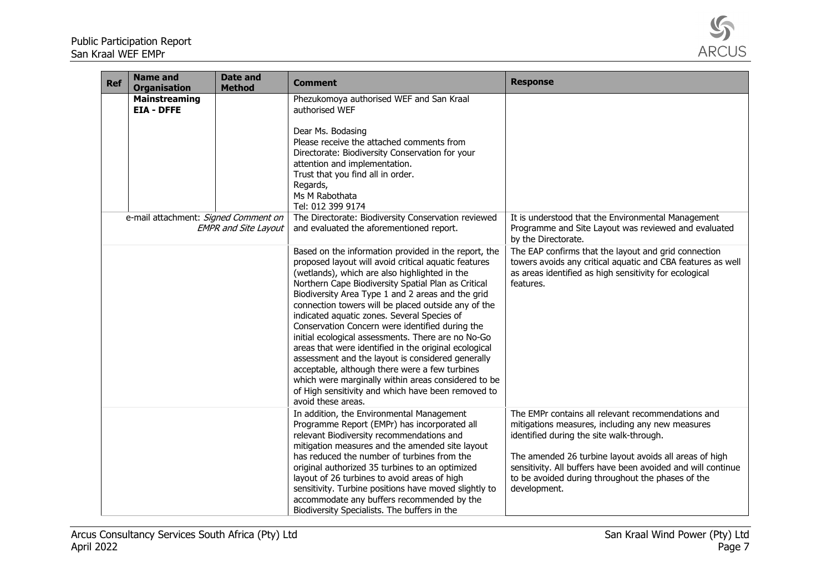

| <b>Ref</b> | <b>Name and</b><br><b>Organisation</b>    | Date and<br><b>Method</b>   | <b>Comment</b>                                                                                                                                                                                                                                                                                                                                                                                                                                                                                                                                                                                                                                                                                                                                                                              | <b>Response</b>                                                                                                                                                                                                                                                                                                                                   |
|------------|-------------------------------------------|-----------------------------|---------------------------------------------------------------------------------------------------------------------------------------------------------------------------------------------------------------------------------------------------------------------------------------------------------------------------------------------------------------------------------------------------------------------------------------------------------------------------------------------------------------------------------------------------------------------------------------------------------------------------------------------------------------------------------------------------------------------------------------------------------------------------------------------|---------------------------------------------------------------------------------------------------------------------------------------------------------------------------------------------------------------------------------------------------------------------------------------------------------------------------------------------------|
|            | <b>Mainstreaming</b><br><b>EIA - DFFE</b> |                             | Phezukomoya authorised WEF and San Kraal<br>authorised WEF<br>Dear Ms. Bodasing<br>Please receive the attached comments from<br>Directorate: Biodiversity Conservation for your<br>attention and implementation.<br>Trust that you find all in order.<br>Regards,<br>Ms M Rabothata<br>Tel: 012 399 9174                                                                                                                                                                                                                                                                                                                                                                                                                                                                                    |                                                                                                                                                                                                                                                                                                                                                   |
|            | e-mail attachment: Signed Comment on      | <b>EMPR and Site Layout</b> | The Directorate: Biodiversity Conservation reviewed<br>and evaluated the aforementioned report.                                                                                                                                                                                                                                                                                                                                                                                                                                                                                                                                                                                                                                                                                             | It is understood that the Environmental Management<br>Programme and Site Layout was reviewed and evaluated<br>by the Directorate.                                                                                                                                                                                                                 |
|            |                                           |                             | Based on the information provided in the report, the<br>proposed layout will avoid critical aquatic features<br>(wetlands), which are also highlighted in the<br>Northern Cape Biodiversity Spatial Plan as Critical<br>Biodiversity Area Type 1 and 2 areas and the grid<br>connection towers will be placed outside any of the<br>indicated aquatic zones. Several Species of<br>Conservation Concern were identified during the<br>initial ecological assessments. There are no No-Go<br>areas that were identified in the original ecological<br>assessment and the layout is considered generally<br>acceptable, although there were a few turbines<br>which were marginally within areas considered to be<br>of High sensitivity and which have been removed to<br>avoid these areas. | The EAP confirms that the layout and grid connection<br>towers avoids any critical aquatic and CBA features as well<br>as areas identified as high sensitivity for ecological<br>features.                                                                                                                                                        |
|            |                                           |                             | In addition, the Environmental Management<br>Programme Report (EMPr) has incorporated all<br>relevant Biodiversity recommendations and<br>mitigation measures and the amended site layout<br>has reduced the number of turbines from the<br>original authorized 35 turbines to an optimized<br>layout of 26 turbines to avoid areas of high<br>sensitivity. Turbine positions have moved slightly to<br>accommodate any buffers recommended by the<br>Biodiversity Specialists. The buffers in the                                                                                                                                                                                                                                                                                          | The EMPr contains all relevant recommendations and<br>mitigations measures, including any new measures<br>identified during the site walk-through.<br>The amended 26 turbine layout avoids all areas of high<br>sensitivity. All buffers have been avoided and will continue<br>to be avoided during throughout the phases of the<br>development. |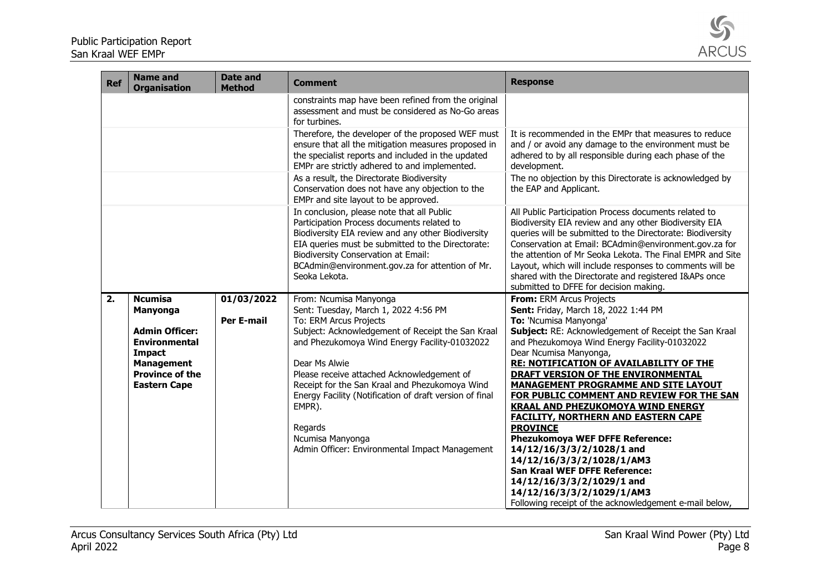

| <b>Ref</b> | <b>Name and</b><br><b>Organisation</b> | <b>Date and</b><br><b>Method</b> | <b>Comment</b>                                                                                                                                                                                                                                                                                                        | <b>Response</b>                                                                                                                                                                                                                                                                                                                                                                                                                                                    |
|------------|----------------------------------------|----------------------------------|-----------------------------------------------------------------------------------------------------------------------------------------------------------------------------------------------------------------------------------------------------------------------------------------------------------------------|--------------------------------------------------------------------------------------------------------------------------------------------------------------------------------------------------------------------------------------------------------------------------------------------------------------------------------------------------------------------------------------------------------------------------------------------------------------------|
|            |                                        |                                  | constraints map have been refined from the original<br>assessment and must be considered as No-Go areas<br>for turbines.                                                                                                                                                                                              |                                                                                                                                                                                                                                                                                                                                                                                                                                                                    |
|            |                                        |                                  | Therefore, the developer of the proposed WEF must<br>ensure that all the mitigation measures proposed in<br>the specialist reports and included in the updated<br>EMPr are strictly adhered to and implemented.                                                                                                       | It is recommended in the EMPr that measures to reduce<br>and / or avoid any damage to the environment must be<br>adhered to by all responsible during each phase of the<br>development.                                                                                                                                                                                                                                                                            |
|            |                                        |                                  | As a result, the Directorate Biodiversity<br>Conservation does not have any objection to the<br>EMPr and site layout to be approved.                                                                                                                                                                                  | The no objection by this Directorate is acknowledged by<br>the EAP and Applicant.                                                                                                                                                                                                                                                                                                                                                                                  |
|            |                                        |                                  | In conclusion, please note that all Public<br>Participation Process documents related to<br>Biodiversity EIA review and any other Biodiversity<br>EIA queries must be submitted to the Directorate:<br><b>Biodiversity Conservation at Email:</b><br>BCAdmin@environment.gov.za for attention of Mr.<br>Seoka Lekota. | All Public Participation Process documents related to<br>Biodiversity EIA review and any other Biodiversity EIA<br>queries will be submitted to the Directorate: Biodiversity<br>Conservation at Email: BCAdmin@environment.gov.za for<br>the attention of Mr Seoka Lekota. The Final EMPR and Site<br>Layout, which will include responses to comments will be<br>shared with the Directorate and registered I&APs once<br>submitted to DFFE for decision making. |
| 2.         | <b>Ncumisa</b>                         | 01/03/2022                       | From: Ncumisa Manyonga                                                                                                                                                                                                                                                                                                | From: ERM Arcus Projects                                                                                                                                                                                                                                                                                                                                                                                                                                           |
|            | Manyonga                               | <b>Per E-mail</b>                | Sent: Tuesday, March 1, 2022 4:56 PM<br>To: ERM Arcus Projects                                                                                                                                                                                                                                                        | Sent: Friday, March 18, 2022 1:44 PM<br>To: 'Ncumisa Manyonga'                                                                                                                                                                                                                                                                                                                                                                                                     |
|            | <b>Admin Officer:</b>                  |                                  | Subject: Acknowledgement of Receipt the San Kraal                                                                                                                                                                                                                                                                     | Subject: RE: Acknowledgement of Receipt the San Kraal                                                                                                                                                                                                                                                                                                                                                                                                              |
|            | <b>Environmental</b>                   |                                  | and Phezukomoya Wind Energy Facility-01032022                                                                                                                                                                                                                                                                         | and Phezukomoya Wind Energy Facility-01032022                                                                                                                                                                                                                                                                                                                                                                                                                      |
|            | <b>Impact</b><br><b>Management</b>     |                                  | Dear Ms Alwie                                                                                                                                                                                                                                                                                                         | Dear Ncumisa Manyonga,<br><b>RE: NOTIFICATION OF AVAILABILITY OF THE</b>                                                                                                                                                                                                                                                                                                                                                                                           |
|            | <b>Province of the</b>                 |                                  | Please receive attached Acknowledgement of                                                                                                                                                                                                                                                                            | <b>DRAFT VERSION OF THE ENVIRONMENTAL</b>                                                                                                                                                                                                                                                                                                                                                                                                                          |
|            | <b>Eastern Cape</b>                    |                                  | Receipt for the San Kraal and Phezukomoya Wind                                                                                                                                                                                                                                                                        | <b>MANAGEMENT PROGRAMME AND SITE LAYOUT</b>                                                                                                                                                                                                                                                                                                                                                                                                                        |
|            |                                        |                                  | Energy Facility (Notification of draft version of final                                                                                                                                                                                                                                                               | FOR PUBLIC COMMENT AND REVIEW FOR THE SAN                                                                                                                                                                                                                                                                                                                                                                                                                          |
|            |                                        |                                  | EMPR).                                                                                                                                                                                                                                                                                                                | <b>KRAAL AND PHEZUKOMOYA WIND ENERGY</b>                                                                                                                                                                                                                                                                                                                                                                                                                           |
|            |                                        |                                  | Regards                                                                                                                                                                                                                                                                                                               | <b>FACILITY, NORTHERN AND EASTERN CAPE</b><br><b>PROVINCE</b>                                                                                                                                                                                                                                                                                                                                                                                                      |
|            |                                        |                                  | Ncumisa Manyonga                                                                                                                                                                                                                                                                                                      | <b>Phezukomoya WEF DFFE Reference:</b>                                                                                                                                                                                                                                                                                                                                                                                                                             |
|            |                                        |                                  | Admin Officer: Environmental Impact Management                                                                                                                                                                                                                                                                        | 14/12/16/3/3/2/1028/1 and                                                                                                                                                                                                                                                                                                                                                                                                                                          |
|            |                                        |                                  |                                                                                                                                                                                                                                                                                                                       | 14/12/16/3/3/2/1028/1/AM3                                                                                                                                                                                                                                                                                                                                                                                                                                          |
|            |                                        |                                  |                                                                                                                                                                                                                                                                                                                       | San Kraal WEF DFFE Reference:                                                                                                                                                                                                                                                                                                                                                                                                                                      |
|            |                                        |                                  |                                                                                                                                                                                                                                                                                                                       | 14/12/16/3/3/2/1029/1 and                                                                                                                                                                                                                                                                                                                                                                                                                                          |
|            |                                        |                                  |                                                                                                                                                                                                                                                                                                                       | 14/12/16/3/3/2/1029/1/AM3<br>Following receipt of the acknowledgement e-mail below,                                                                                                                                                                                                                                                                                                                                                                                |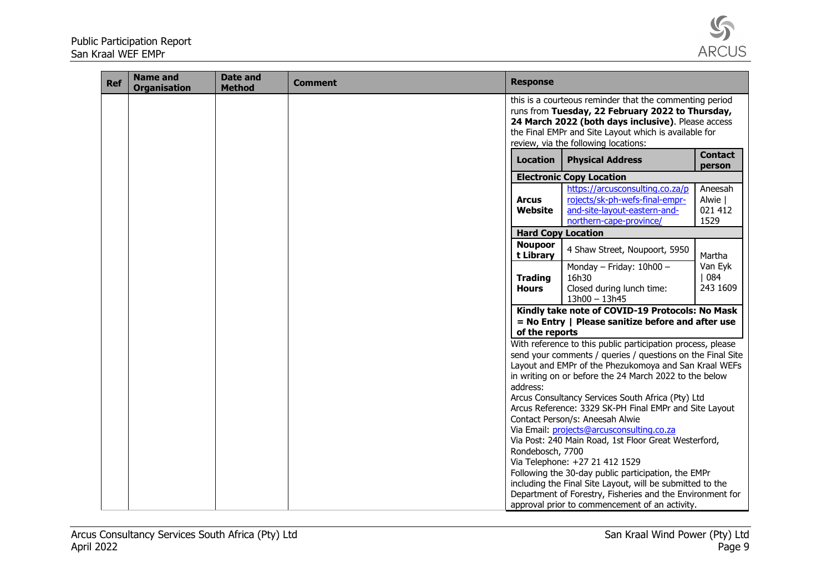

| <b>Ref</b> | <b>Name and</b><br><b>Organisation</b> | <b>Date and</b><br><b>Method</b> | <b>Comment</b> | <b>Response</b>                |                                                                                                                                                                                                                                                                                                                                                                                                                                                                                                                                                                                                                                                                                                                                                                          |                                       |
|------------|----------------------------------------|----------------------------------|----------------|--------------------------------|--------------------------------------------------------------------------------------------------------------------------------------------------------------------------------------------------------------------------------------------------------------------------------------------------------------------------------------------------------------------------------------------------------------------------------------------------------------------------------------------------------------------------------------------------------------------------------------------------------------------------------------------------------------------------------------------------------------------------------------------------------------------------|---------------------------------------|
|            |                                        |                                  |                |                                | this is a courteous reminder that the commenting period<br>runs from Tuesday, 22 February 2022 to Thursday,<br>24 March 2022 (both days inclusive). Please access<br>the Final EMPr and Site Layout which is available for<br>review, via the following locations:                                                                                                                                                                                                                                                                                                                                                                                                                                                                                                       |                                       |
|            |                                        |                                  |                | <b>Location</b>                | <b>Physical Address</b>                                                                                                                                                                                                                                                                                                                                                                                                                                                                                                                                                                                                                                                                                                                                                  | <b>Contact</b><br>person              |
|            |                                        |                                  |                |                                | <b>Electronic Copy Location</b>                                                                                                                                                                                                                                                                                                                                                                                                                                                                                                                                                                                                                                                                                                                                          |                                       |
|            |                                        |                                  |                | <b>Arcus</b><br>Website        | https://arcusconsulting.co.za/p<br>rojects/sk-ph-wefs-final-empr-<br>and-site-layout-eastern-and-<br>northern-cape-province/                                                                                                                                                                                                                                                                                                                                                                                                                                                                                                                                                                                                                                             | Aneesah<br>Alwie  <br>021 412<br>1529 |
|            |                                        |                                  |                |                                | <b>Hard Copy Location</b>                                                                                                                                                                                                                                                                                                                                                                                                                                                                                                                                                                                                                                                                                                                                                |                                       |
|            |                                        |                                  |                | <b>Noupoor</b><br>t Library    | 4 Shaw Street, Noupoort, 5950                                                                                                                                                                                                                                                                                                                                                                                                                                                                                                                                                                                                                                                                                                                                            | Martha                                |
|            |                                        |                                  |                | <b>Trading</b><br><b>Hours</b> | Monday - Friday: $10h00 -$<br>16h30<br>Closed during lunch time:<br>$13h00 - 13h45$                                                                                                                                                                                                                                                                                                                                                                                                                                                                                                                                                                                                                                                                                      | Van Eyk<br> 084 <br>243 1609          |
|            |                                        |                                  |                | of the reports                 | Kindly take note of COVID-19 Protocols: No Mask<br>$=$ No Entry   Please sanitize before and after use                                                                                                                                                                                                                                                                                                                                                                                                                                                                                                                                                                                                                                                                   |                                       |
|            |                                        |                                  |                | address:<br>Rondebosch, 7700   | With reference to this public participation process, please<br>send your comments / queries / questions on the Final Site<br>Layout and EMPr of the Phezukomoya and San Kraal WEFs<br>in writing on or before the 24 March 2022 to the below<br>Arcus Consultancy Services South Africa (Pty) Ltd<br>Arcus Reference: 3329 SK-PH Final EMPr and Site Layout<br>Contact Person/s: Aneesah Alwie<br>Via Email: projects@arcusconsulting.co.za<br>Via Post: 240 Main Road, 1st Floor Great Westerford,<br>Via Telephone: +27 21 412 1529<br>Following the 30-day public participation, the EMPr<br>including the Final Site Layout, will be submitted to the<br>Department of Forestry, Fisheries and the Environment for<br>approval prior to commencement of an activity. |                                       |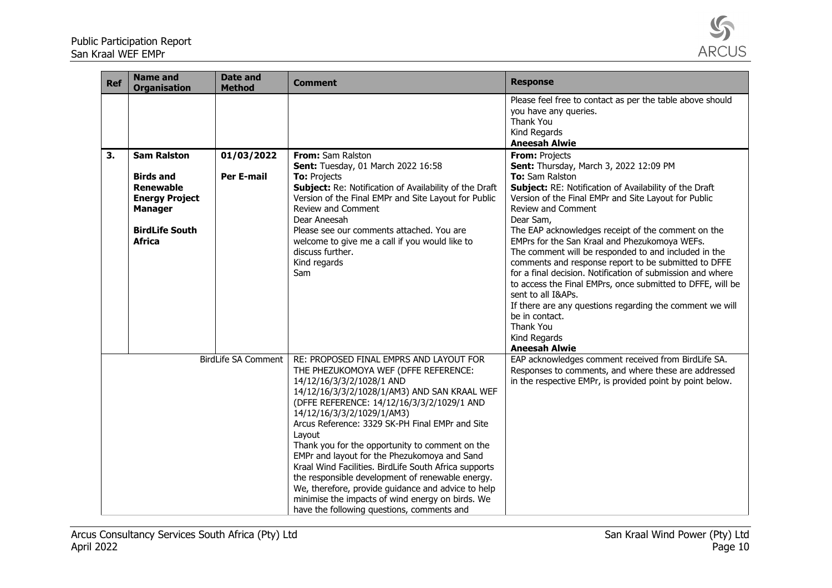

| <b>Ref</b> | <b>Name and</b><br><b>Organisation</b>                                                                                                          | <b>Date and</b><br><b>Method</b> | <b>Comment</b>                                                                                                                                                                                                                                                                                                                                                                                                                                                                                                                                                                                                                                                                | <b>Response</b>                                                                                                                                                                                                                                                                                                                                                                                                                                                                                                                                                                                                                                                                                                                              |
|------------|-------------------------------------------------------------------------------------------------------------------------------------------------|----------------------------------|-------------------------------------------------------------------------------------------------------------------------------------------------------------------------------------------------------------------------------------------------------------------------------------------------------------------------------------------------------------------------------------------------------------------------------------------------------------------------------------------------------------------------------------------------------------------------------------------------------------------------------------------------------------------------------|----------------------------------------------------------------------------------------------------------------------------------------------------------------------------------------------------------------------------------------------------------------------------------------------------------------------------------------------------------------------------------------------------------------------------------------------------------------------------------------------------------------------------------------------------------------------------------------------------------------------------------------------------------------------------------------------------------------------------------------------|
|            |                                                                                                                                                 |                                  |                                                                                                                                                                                                                                                                                                                                                                                                                                                                                                                                                                                                                                                                               | Please feel free to contact as per the table above should<br>you have any queries.<br>Thank You<br>Kind Regards<br><b>Aneesah Alwie</b>                                                                                                                                                                                                                                                                                                                                                                                                                                                                                                                                                                                                      |
| 3.         | <b>Sam Ralston</b><br><b>Birds and</b><br><b>Renewable</b><br><b>Energy Project</b><br><b>Manager</b><br><b>BirdLife South</b><br><b>Africa</b> | 01/03/2022<br><b>Per E-mail</b>  | From: Sam Ralston<br>Sent: Tuesday, 01 March 2022 16:58<br>To: Projects<br>Subject: Re: Notification of Availability of the Draft<br>Version of the Final EMPr and Site Layout for Public<br>Review and Comment<br>Dear Aneesah<br>Please see our comments attached. You are<br>welcome to give me a call if you would like to<br>discuss further.<br>Kind regards<br>Sam                                                                                                                                                                                                                                                                                                     | From: Projects<br>Sent: Thursday, March 3, 2022 12:09 PM<br>To: Sam Ralston<br>Subject: RE: Notification of Availability of the Draft<br>Version of the Final EMPr and Site Layout for Public<br>Review and Comment<br>Dear Sam,<br>The EAP acknowledges receipt of the comment on the<br>EMPrs for the San Kraal and Phezukomoya WEFs.<br>The comment will be responded to and included in the<br>comments and response report to be submitted to DFFE<br>for a final decision. Notification of submission and where<br>to access the Final EMPrs, once submitted to DFFE, will be<br>sent to all I&APs.<br>If there are any questions regarding the comment we will<br>be in contact.<br>Thank You<br>Kind Regards<br><b>Aneesah Alwie</b> |
|            |                                                                                                                                                 | <b>BirdLife SA Comment</b>       | RE: PROPOSED FINAL EMPRS AND LAYOUT FOR<br>THE PHEZUKOMOYA WEF (DFFE REFERENCE:<br>14/12/16/3/3/2/1028/1 AND<br>14/12/16/3/3/2/1028/1/AM3) AND SAN KRAAL WEF<br>(DFFE REFERENCE: 14/12/16/3/3/2/1029/1 AND<br>14/12/16/3/3/2/1029/1/AM3)<br>Arcus Reference: 3329 SK-PH Final EMPr and Site<br>Layout<br>Thank you for the opportunity to comment on the<br>EMPr and layout for the Phezukomoya and Sand<br>Kraal Wind Facilities. BirdLife South Africa supports<br>the responsible development of renewable energy.<br>We, therefore, provide guidance and advice to help<br>minimise the impacts of wind energy on birds. We<br>have the following questions, comments and | EAP acknowledges comment received from BirdLife SA.<br>Responses to comments, and where these are addressed<br>in the respective EMPr, is provided point by point below.                                                                                                                                                                                                                                                                                                                                                                                                                                                                                                                                                                     |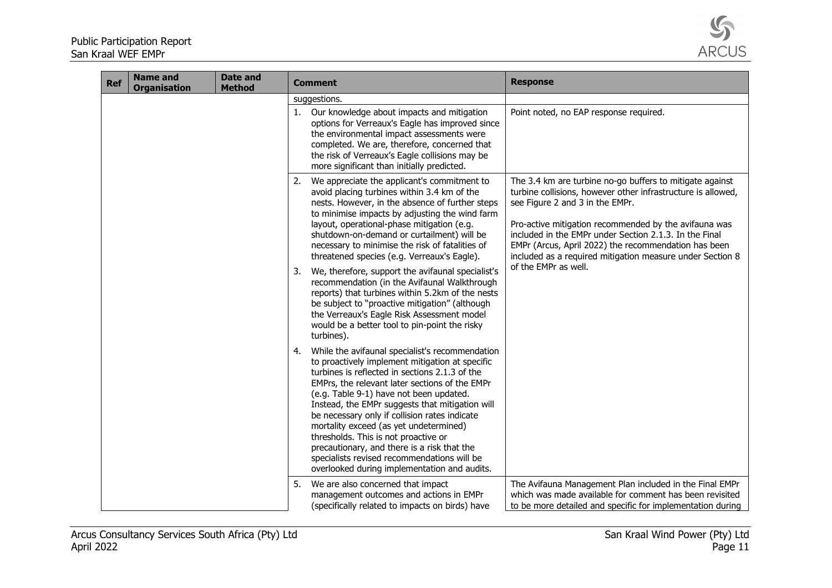

| <b>Ref</b> | <b>Name and</b><br><b>Organisation</b> | <b>Date and</b><br><b>Method</b> | <b>Comment</b>                                                                                                                                                                                                                                                                                                                                                                                                                                                                                                                                                                                                                                                                                                                    | <b>Response</b>                                                                                                                                                                                                                                                                                                                                                                                                             |
|------------|----------------------------------------|----------------------------------|-----------------------------------------------------------------------------------------------------------------------------------------------------------------------------------------------------------------------------------------------------------------------------------------------------------------------------------------------------------------------------------------------------------------------------------------------------------------------------------------------------------------------------------------------------------------------------------------------------------------------------------------------------------------------------------------------------------------------------------|-----------------------------------------------------------------------------------------------------------------------------------------------------------------------------------------------------------------------------------------------------------------------------------------------------------------------------------------------------------------------------------------------------------------------------|
|            |                                        |                                  | suggestions.                                                                                                                                                                                                                                                                                                                                                                                                                                                                                                                                                                                                                                                                                                                      |                                                                                                                                                                                                                                                                                                                                                                                                                             |
|            |                                        |                                  | Our knowledge about impacts and mitigation<br>1.<br>options for Verreaux's Eagle has improved since<br>the environmental impact assessments were<br>completed. We are, therefore, concerned that<br>the risk of Verreaux's Eagle collisions may be<br>more significant than initially predicted.                                                                                                                                                                                                                                                                                                                                                                                                                                  | Point noted, no EAP response required.                                                                                                                                                                                                                                                                                                                                                                                      |
|            |                                        |                                  | We appreciate the applicant's commitment to<br>2.<br>avoid placing turbines within 3.4 km of the<br>nests. However, in the absence of further steps<br>to minimise impacts by adjusting the wind farm<br>layout, operational-phase mitigation (e.g.<br>shutdown-on-demand or curtailment) will be<br>necessary to minimise the risk of fatalities of<br>threatened species (e.g. Verreaux's Eagle).<br>We, therefore, support the avifaunal specialist's<br>3.<br>recommendation (in the Avifaunal Walkthrough<br>reports) that turbines within 5.2km of the nests<br>be subject to "proactive mitigation" (although<br>the Verreaux's Eagle Risk Assessment model<br>would be a better tool to pin-point the risky<br>turbines). | The 3.4 km are turbine no-go buffers to mitigate against<br>turbine collisions, however other infrastructure is allowed,<br>see Figure 2 and 3 in the EMPr.<br>Pro-active mitigation recommended by the avifauna was<br>included in the EMPr under Section 2.1.3. In the Final<br>EMPr (Arcus, April 2022) the recommendation has been<br>included as a required mitigation measure under Section 8<br>of the EMPr as well. |
|            |                                        |                                  | While the avifaunal specialist's recommendation<br>4.<br>to proactively implement mitigation at specific<br>turbines is reflected in sections 2.1.3 of the<br>EMPrs, the relevant later sections of the EMPr<br>(e.g. Table 9-1) have not been updated.<br>Instead, the EMPr suggests that mitigation will<br>be necessary only if collision rates indicate<br>mortality exceed (as yet undetermined)<br>thresholds. This is not proactive or<br>precautionary, and there is a risk that the<br>specialists revised recommendations will be<br>overlooked during implementation and audits.                                                                                                                                       |                                                                                                                                                                                                                                                                                                                                                                                                                             |
|            |                                        |                                  | We are also concerned that impact<br>5.<br>management outcomes and actions in EMPr<br>(specifically related to impacts on birds) have                                                                                                                                                                                                                                                                                                                                                                                                                                                                                                                                                                                             | The Avifauna Management Plan included in the Final EMPr<br>which was made available for comment has been revisited<br>to be more detailed and specific for implementation during                                                                                                                                                                                                                                            |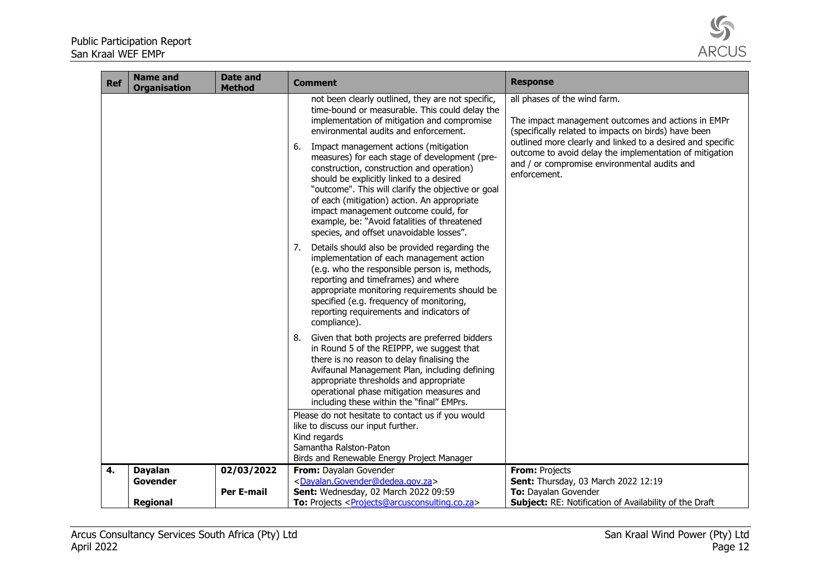

| The impact management outcomes and actions in EMPr<br>outlined more clearly and linked to a desired and specific<br>outcome to avoid delay the implementation of mitigation |
|-----------------------------------------------------------------------------------------------------------------------------------------------------------------------------|
|                                                                                                                                                                             |
|                                                                                                                                                                             |
|                                                                                                                                                                             |
|                                                                                                                                                                             |
|                                                                                                                                                                             |
|                                                                                                                                                                             |
|                                                                                                                                                                             |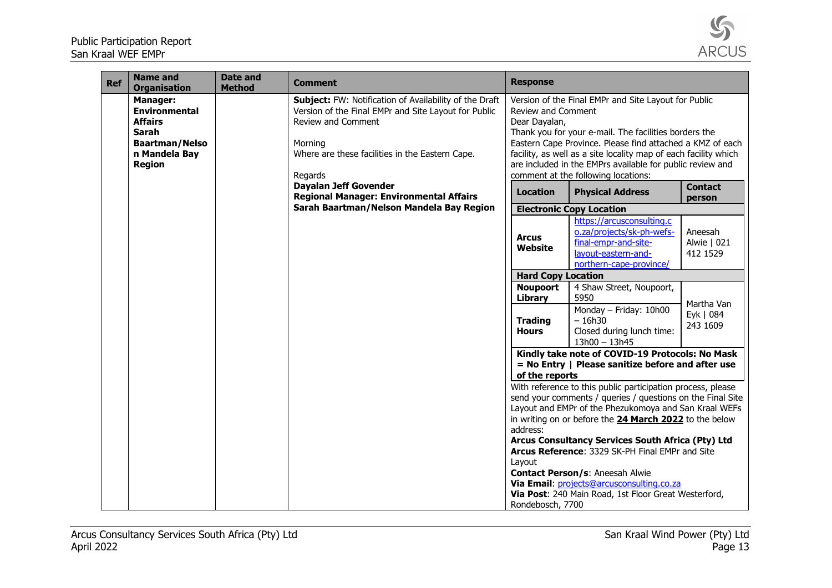Public Participation Report San Kraal WEF EMPr



| <b>Ref</b> | <b>Name and</b><br><b>Organisation</b>                                                                                               | <b>Date and</b><br><b>Method</b> | <b>Comment</b>                                                                                                                                                                                                | <b>Response</b>                     |                                                                                                                                                                                                                                                                                                                                                   |                                     |
|------------|--------------------------------------------------------------------------------------------------------------------------------------|----------------------------------|---------------------------------------------------------------------------------------------------------------------------------------------------------------------------------------------------------------|-------------------------------------|---------------------------------------------------------------------------------------------------------------------------------------------------------------------------------------------------------------------------------------------------------------------------------------------------------------------------------------------------|-------------------------------------|
|            | <b>Manager:</b><br><b>Environmental</b><br><b>Affairs</b><br><b>Sarah</b><br><b>Baartman/Nelso</b><br>n Mandela Bay<br><b>Region</b> |                                  | Subject: FW: Notification of Availability of the Draft<br>Version of the Final EMPr and Site Layout for Public<br>Review and Comment<br>Morning<br>Where are these facilities in the Eastern Cape.<br>Regards | Review and Comment<br>Dear Dayalan, | Version of the Final EMPr and Site Layout for Public<br>Thank you for your e-mail. The facilities borders the<br>Eastern Cape Province. Please find attached a KMZ of each<br>facility, as well as a site locality map of each facility which<br>are included in the EMPrs available for public review and<br>comment at the following locations: |                                     |
|            |                                                                                                                                      |                                  | <b>Dayalan Jeff Govender</b><br><b>Regional Manager: Environmental Affairs</b>                                                                                                                                | <b>Location</b>                     | <b>Physical Address</b>                                                                                                                                                                                                                                                                                                                           | <b>Contact</b><br>person            |
|            |                                                                                                                                      |                                  | Sarah Baartman/Nelson Mandela Bay Region                                                                                                                                                                      |                                     | <b>Electronic Copy Location</b>                                                                                                                                                                                                                                                                                                                   |                                     |
|            |                                                                                                                                      |                                  |                                                                                                                                                                                                               | <b>Arcus</b><br>Website             | https://arcusconsulting.c<br>o.za/projects/sk-ph-wefs-<br>final-empr-and-site-<br>layout-eastern-and-<br>northern-cape-province/                                                                                                                                                                                                                  | Aneesah<br>Alwie   021<br>412 1529  |
|            |                                                                                                                                      |                                  |                                                                                                                                                                                                               | <b>Hard Copy Location</b>           |                                                                                                                                                                                                                                                                                                                                                   |                                     |
|            |                                                                                                                                      |                                  |                                                                                                                                                                                                               | <b>Noupoort</b><br><b>Library</b>   | 4 Shaw Street, Noupoort,<br>5950                                                                                                                                                                                                                                                                                                                  |                                     |
|            |                                                                                                                                      |                                  |                                                                                                                                                                                                               | <b>Trading</b><br><b>Hours</b>      | Monday - Friday: 10h00<br>$-16h30$<br>Closed during lunch time:<br>$13h00 - 13h45$                                                                                                                                                                                                                                                                | Martha Van<br>Eyk   084<br>243 1609 |
|            |                                                                                                                                      |                                  |                                                                                                                                                                                                               |                                     | Kindly take note of COVID-19 Protocols: No Mask                                                                                                                                                                                                                                                                                                   |                                     |
|            |                                                                                                                                      |                                  |                                                                                                                                                                                                               |                                     | $=$ No Entry   Please sanitize before and after use                                                                                                                                                                                                                                                                                               |                                     |
|            |                                                                                                                                      |                                  |                                                                                                                                                                                                               | of the reports                      |                                                                                                                                                                                                                                                                                                                                                   |                                     |
|            |                                                                                                                                      |                                  |                                                                                                                                                                                                               |                                     | With reference to this public participation process, please                                                                                                                                                                                                                                                                                       |                                     |
|            |                                                                                                                                      |                                  |                                                                                                                                                                                                               |                                     | send your comments / queries / questions on the Final Site<br>Layout and EMPr of the Phezukomoya and San Kraal WEFs                                                                                                                                                                                                                               |                                     |
|            |                                                                                                                                      |                                  |                                                                                                                                                                                                               |                                     | in writing on or before the 24 March 2022 to the below                                                                                                                                                                                                                                                                                            |                                     |
|            |                                                                                                                                      |                                  |                                                                                                                                                                                                               | address:                            |                                                                                                                                                                                                                                                                                                                                                   |                                     |
|            |                                                                                                                                      |                                  |                                                                                                                                                                                                               |                                     | Arcus Consultancy Services South Africa (Pty) Ltd                                                                                                                                                                                                                                                                                                 |                                     |
|            |                                                                                                                                      |                                  |                                                                                                                                                                                                               |                                     | Arcus Reference: 3329 SK-PH Final EMPr and Site                                                                                                                                                                                                                                                                                                   |                                     |
|            |                                                                                                                                      |                                  |                                                                                                                                                                                                               | Layout                              |                                                                                                                                                                                                                                                                                                                                                   |                                     |
|            |                                                                                                                                      |                                  |                                                                                                                                                                                                               |                                     | <b>Contact Person/s: Aneesah Alwie</b>                                                                                                                                                                                                                                                                                                            |                                     |
|            |                                                                                                                                      |                                  |                                                                                                                                                                                                               |                                     | Via Email: projects@arcusconsulting.co.za<br>Via Post: 240 Main Road, 1st Floor Great Westerford,                                                                                                                                                                                                                                                 |                                     |
|            |                                                                                                                                      |                                  |                                                                                                                                                                                                               | Rondebosch, 7700                    |                                                                                                                                                                                                                                                                                                                                                   |                                     |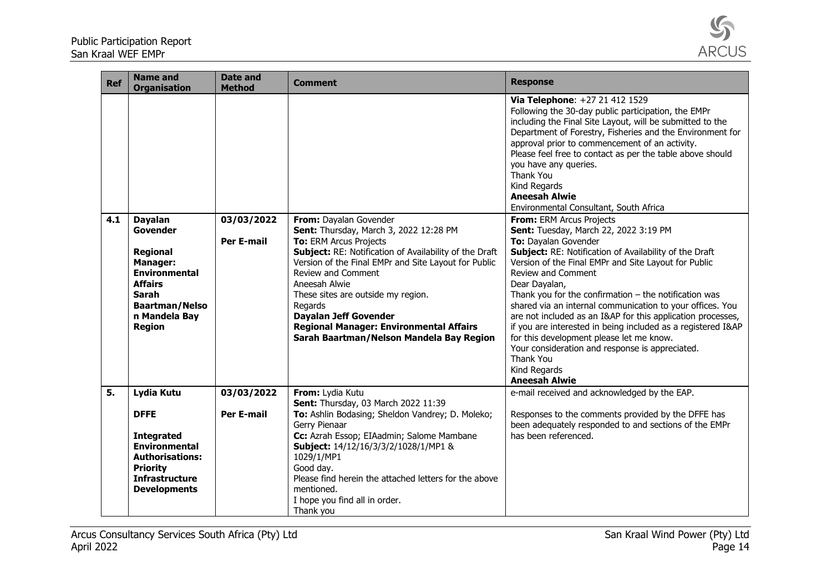

| <b>Ref</b> | <b>Name and</b><br><b>Organisation</b>                                                                                                                                  | <b>Date and</b><br><b>Method</b> | <b>Comment</b>                                                                                                                                                                                                                                                                                                                                                                                                                            | <b>Response</b>                                                                                                                                                                                                                                                                                                                                                                                                                                                                                                                                                                                                                                               |
|------------|-------------------------------------------------------------------------------------------------------------------------------------------------------------------------|----------------------------------|-------------------------------------------------------------------------------------------------------------------------------------------------------------------------------------------------------------------------------------------------------------------------------------------------------------------------------------------------------------------------------------------------------------------------------------------|---------------------------------------------------------------------------------------------------------------------------------------------------------------------------------------------------------------------------------------------------------------------------------------------------------------------------------------------------------------------------------------------------------------------------------------------------------------------------------------------------------------------------------------------------------------------------------------------------------------------------------------------------------------|
|            |                                                                                                                                                                         |                                  |                                                                                                                                                                                                                                                                                                                                                                                                                                           | Via Telephone: +27 21 412 1529<br>Following the 30-day public participation, the EMPr<br>including the Final Site Layout, will be submitted to the<br>Department of Forestry, Fisheries and the Environment for<br>approval prior to commencement of an activity.<br>Please feel free to contact as per the table above should<br>you have any queries.<br>Thank You<br>Kind Regards<br><b>Aneesah Alwie</b><br>Environmental Consultant, South Africa                                                                                                                                                                                                        |
| 4.1        | <b>Dayalan</b><br>Govender<br>Regional<br><b>Manager:</b><br><b>Environmental</b><br><b>Affairs</b><br>Sarah<br><b>Baartman/Nelso</b><br>n Mandela Bay<br><b>Region</b> | 03/03/2022<br><b>Per E-mail</b>  | From: Dayalan Govender<br>Sent: Thursday, March 3, 2022 12:28 PM<br>To: ERM Arcus Projects<br>Subject: RE: Notification of Availability of the Draft<br>Version of the Final EMPr and Site Layout for Public<br><b>Review and Comment</b><br>Aneesah Alwie<br>These sites are outside my region.<br>Regards<br><b>Dayalan Jeff Govender</b><br><b>Regional Manager: Environmental Affairs</b><br>Sarah Baartman/Nelson Mandela Bay Region | From: ERM Arcus Projects<br>Sent: Tuesday, March 22, 2022 3:19 PM<br>To: Dayalan Govender<br>Subject: RE: Notification of Availability of the Draft<br>Version of the Final EMPr and Site Layout for Public<br>Review and Comment<br>Dear Dayalan,<br>Thank you for the confirmation $-$ the notification was<br>shared via an internal communication to your offices. You<br>are not included as an I&AP for this application processes,<br>if you are interested in being included as a registered I&AP<br>for this development please let me know.<br>Your consideration and response is appreciated.<br>Thank You<br>Kind Regards<br><b>Aneesah Alwie</b> |
| 5.         | Lydia Kutu<br><b>DFFE</b><br><b>Integrated</b><br><b>Environmental</b><br><b>Authorisations:</b><br><b>Priority</b><br><b>Infrastructure</b><br><b>Developments</b>     | 03/03/2022<br><b>Per E-mail</b>  | From: Lydia Kutu<br>Sent: Thursday, 03 March 2022 11:39<br>To: Ashlin Bodasing; Sheldon Vandrey; D. Moleko;<br>Gerry Pienaar<br>Cc: Azrah Essop; EIAadmin; Salome Mambane<br>Subject: 14/12/16/3/3/2/1028/1/MP1 &<br>1029/1/MP1<br>Good day.<br>Please find herein the attached letters for the above<br>mentioned.<br>I hope you find all in order.<br>Thank you                                                                         | e-mail received and acknowledged by the EAP.<br>Responses to the comments provided by the DFFE has<br>been adequately responded to and sections of the EMPr<br>has been referenced.                                                                                                                                                                                                                                                                                                                                                                                                                                                                           |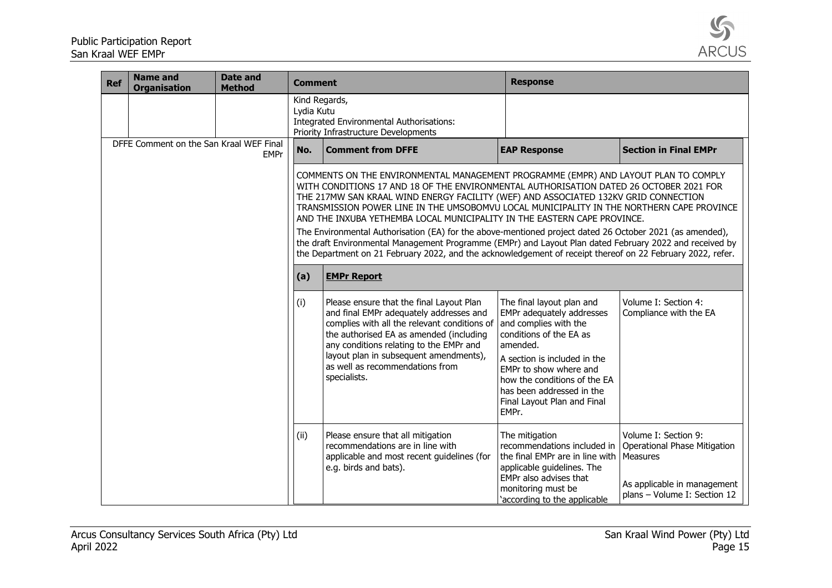

| <b>Ref</b> | <b>Name and</b><br><b>Organisation</b>  | <b>Date and</b><br><b>Method</b> | <b>Comment</b>              |                                                                                                                                                                                                                                                                                                                                                                                                                                                                                                                                                                                                                                                                                                                                                                                    | <b>Response</b>                                                                                                                                                                                                                                                                       |                                                                                                                                 |
|------------|-----------------------------------------|----------------------------------|-----------------------------|------------------------------------------------------------------------------------------------------------------------------------------------------------------------------------------------------------------------------------------------------------------------------------------------------------------------------------------------------------------------------------------------------------------------------------------------------------------------------------------------------------------------------------------------------------------------------------------------------------------------------------------------------------------------------------------------------------------------------------------------------------------------------------|---------------------------------------------------------------------------------------------------------------------------------------------------------------------------------------------------------------------------------------------------------------------------------------|---------------------------------------------------------------------------------------------------------------------------------|
|            |                                         |                                  | Kind Regards,<br>Lydia Kutu | Integrated Environmental Authorisations:<br>Priority Infrastructure Developments                                                                                                                                                                                                                                                                                                                                                                                                                                                                                                                                                                                                                                                                                                   |                                                                                                                                                                                                                                                                                       |                                                                                                                                 |
|            | DFFE Comment on the San Kraal WEF Final | <b>EMPr</b>                      | No.                         | <b>Comment from DFFE</b>                                                                                                                                                                                                                                                                                                                                                                                                                                                                                                                                                                                                                                                                                                                                                           | <b>EAP Response</b>                                                                                                                                                                                                                                                                   | <b>Section in Final EMPr</b>                                                                                                    |
|            |                                         |                                  |                             | COMMENTS ON THE ENVIRONMENTAL MANAGEMENT PROGRAMME (EMPR) AND LAYOUT PLAN TO COMPLY<br>WITH CONDITIONS 17 AND 18 OF THE ENVIRONMENTAL AUTHORISATION DATED 26 OCTOBER 2021 FOR<br>THE 217MW SAN KRAAL WIND ENERGY FACILITY (WEF) AND ASSOCIATED 132KV GRID CONNECTION<br>TRANSMISSION POWER LINE IN THE UMSOBOMVU LOCAL MUNICIPALITY IN THE NORTHERN CAPE PROVINCE<br>AND THE INXUBA YETHEMBA LOCAL MUNICIPALITY IN THE EASTERN CAPE PROVINCE.<br>The Environmental Authorisation (EA) for the above-mentioned project dated 26 October 2021 (as amended),<br>the draft Environmental Management Programme (EMPr) and Layout Plan dated February 2022 and received by<br>the Department on 21 February 2022, and the acknowledgement of receipt thereof on 22 February 2022, refer. |                                                                                                                                                                                                                                                                                       |                                                                                                                                 |
|            |                                         |                                  | (a)                         | <b>EMPr Report</b>                                                                                                                                                                                                                                                                                                                                                                                                                                                                                                                                                                                                                                                                                                                                                                 |                                                                                                                                                                                                                                                                                       |                                                                                                                                 |
|            |                                         |                                  | (i)                         | Please ensure that the final Layout Plan<br>and final EMPr adequately addresses and<br>complies with all the relevant conditions of<br>the authorised EA as amended (including<br>any conditions relating to the EMPr and<br>layout plan in subsequent amendments),<br>as well as recommendations from<br>specialists.                                                                                                                                                                                                                                                                                                                                                                                                                                                             | The final layout plan and<br>EMPr adequately addresses<br>and complies with the<br>conditions of the EA as<br>amended.<br>A section is included in the<br>EMPr to show where and<br>how the conditions of the EA<br>has been addressed in the<br>Final Layout Plan and Final<br>EMPr. | Volume I: Section 4:<br>Compliance with the EA                                                                                  |
|            |                                         |                                  | (ii)                        | Please ensure that all mitigation<br>recommendations are in line with<br>applicable and most recent guidelines (for<br>e.g. birds and bats).                                                                                                                                                                                                                                                                                                                                                                                                                                                                                                                                                                                                                                       | The mitigation<br>recommendations included in<br>the final EMPr are in line with<br>applicable quidelines. The<br>EMPr also advises that<br>monitoring must be<br>'according to the applicable                                                                                        | Volume I: Section 9:<br>Operational Phase Mitigation<br>Measures<br>As applicable in management<br>plans - Volume I: Section 12 |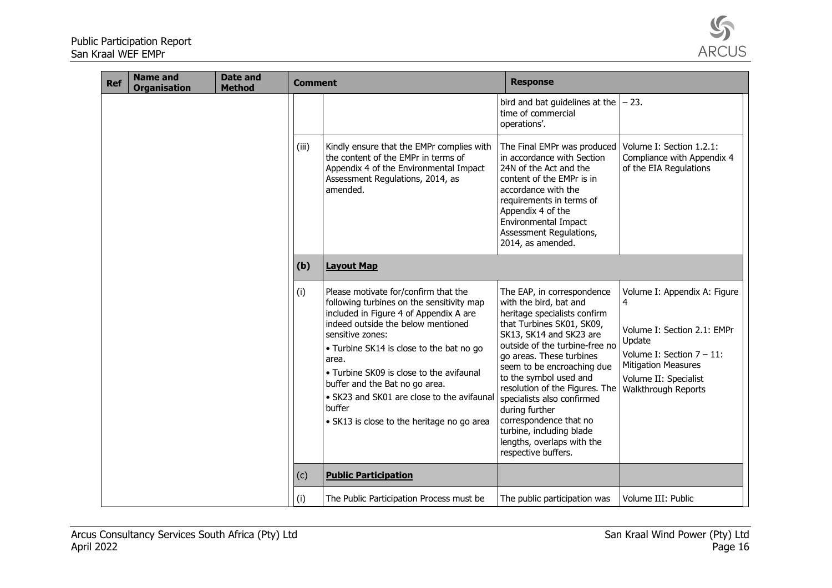

| <b>Ref</b> | <b>Name and</b><br><b>Organisation</b> | <b>Date and</b><br><b>Method</b> | <b>Comment</b> |                                                                                                                                                                                                                                                                                                                                                                                                                                | <b>Response</b>                                                                                                                                                                                                                                                                                                                                                                                                                                                 |                                                                                                                                                                                                 |
|------------|----------------------------------------|----------------------------------|----------------|--------------------------------------------------------------------------------------------------------------------------------------------------------------------------------------------------------------------------------------------------------------------------------------------------------------------------------------------------------------------------------------------------------------------------------|-----------------------------------------------------------------------------------------------------------------------------------------------------------------------------------------------------------------------------------------------------------------------------------------------------------------------------------------------------------------------------------------------------------------------------------------------------------------|-------------------------------------------------------------------------------------------------------------------------------------------------------------------------------------------------|
|            |                                        |                                  |                |                                                                                                                                                                                                                                                                                                                                                                                                                                | bird and bat guidelines at the<br>time of commercial<br>operations'.                                                                                                                                                                                                                                                                                                                                                                                            | $-23.$                                                                                                                                                                                          |
|            |                                        |                                  | (iii)          | Kindly ensure that the EMPr complies with<br>the content of the EMPr in terms of<br>Appendix 4 of the Environmental Impact<br>Assessment Regulations, 2014, as<br>amended.                                                                                                                                                                                                                                                     | The Final EMPr was produced<br>in accordance with Section<br>24N of the Act and the<br>content of the EMPr is in<br>accordance with the<br>requirements in terms of<br>Appendix 4 of the<br><b>Environmental Impact</b><br>Assessment Regulations,<br>2014, as amended.                                                                                                                                                                                         | Volume I: Section 1.2.1:<br>Compliance with Appendix 4<br>of the EIA Regulations                                                                                                                |
|            |                                        |                                  | (b)            | <b>Layout Map</b>                                                                                                                                                                                                                                                                                                                                                                                                              |                                                                                                                                                                                                                                                                                                                                                                                                                                                                 |                                                                                                                                                                                                 |
|            |                                        |                                  | (i)            | Please motivate for/confirm that the<br>following turbines on the sensitivity map<br>included in Figure 4 of Appendix A are<br>indeed outside the below mentioned<br>sensitive zones:<br>• Turbine SK14 is close to the bat no go<br>area.<br>• Turbine SK09 is close to the avifaunal<br>buffer and the Bat no go area.<br>• SK23 and SK01 are close to the avifaunal<br>buffer<br>· SK13 is close to the heritage no go area | The EAP, in correspondence<br>with the bird, bat and<br>heritage specialists confirm<br>that Turbines SK01, SK09,<br>SK13, SK14 and SK23 are<br>outside of the turbine-free no<br>go areas. These turbines<br>seem to be encroaching due<br>to the symbol used and<br>resolution of the Figures. The<br>specialists also confirmed<br>during further<br>correspondence that no<br>turbine, including blade<br>lengths, overlaps with the<br>respective buffers. | Volume I: Appendix A: Figure<br>4<br>Volume I: Section 2.1: EMPr<br>Update<br>Volume I: Section $7 - 11$ :<br><b>Mitigation Measures</b><br>Volume II: Specialist<br><b>Walkthrough Reports</b> |
|            |                                        |                                  | (c)            | <b>Public Participation</b>                                                                                                                                                                                                                                                                                                                                                                                                    |                                                                                                                                                                                                                                                                                                                                                                                                                                                                 |                                                                                                                                                                                                 |
|            |                                        |                                  | (i)            | The Public Participation Process must be                                                                                                                                                                                                                                                                                                                                                                                       | The public participation was                                                                                                                                                                                                                                                                                                                                                                                                                                    | Volume III: Public                                                                                                                                                                              |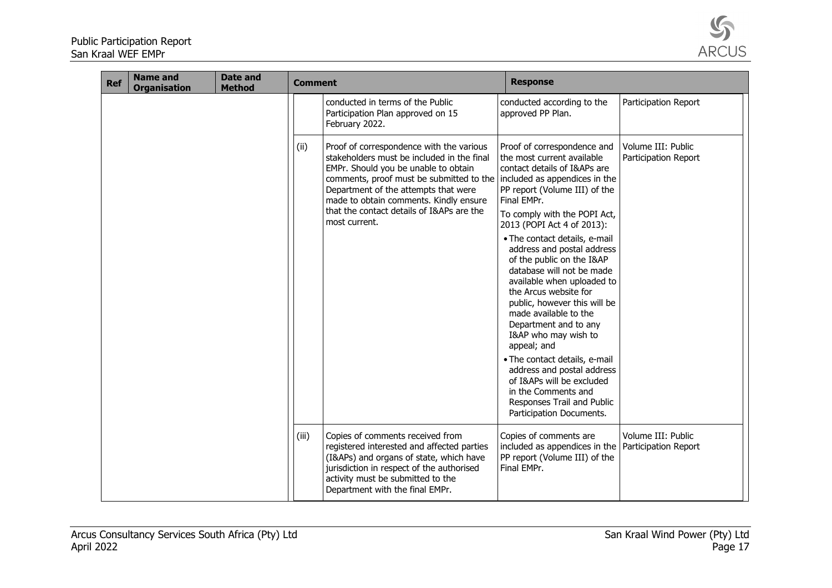

| <b>Ref</b> | <b>Name and</b><br><b>Organisation</b> | Date and<br><b>Method</b> | <b>Comment</b> |                                                                                                                                                                                                                                                                                                                                                          | <b>Response</b>                                                                                                                                                                                                                                                                                                                                                                                                                                                                                                                                                                                                                     |                                            |
|------------|----------------------------------------|---------------------------|----------------|----------------------------------------------------------------------------------------------------------------------------------------------------------------------------------------------------------------------------------------------------------------------------------------------------------------------------------------------------------|-------------------------------------------------------------------------------------------------------------------------------------------------------------------------------------------------------------------------------------------------------------------------------------------------------------------------------------------------------------------------------------------------------------------------------------------------------------------------------------------------------------------------------------------------------------------------------------------------------------------------------------|--------------------------------------------|
|            |                                        |                           |                | conducted in terms of the Public<br>Participation Plan approved on 15<br>February 2022.                                                                                                                                                                                                                                                                  | conducted according to the<br>approved PP Plan.                                                                                                                                                                                                                                                                                                                                                                                                                                                                                                                                                                                     | Participation Report                       |
|            |                                        |                           | (ii)           | Proof of correspondence with the various<br>stakeholders must be included in the final<br>EMPr. Should you be unable to obtain<br>comments, proof must be submitted to the included as appendices in the<br>Department of the attempts that were<br>made to obtain comments. Kindly ensure<br>that the contact details of I&APs are the<br>most current. | Proof of correspondence and<br>the most current available<br>contact details of I&APs are<br>PP report (Volume III) of the<br>Final EMPr.<br>To comply with the POPI Act,<br>2013 (POPI Act 4 of 2013):<br>. The contact details, e-mail<br>address and postal address<br>of the public on the I&AP<br>database will not be made<br>available when uploaded to<br>the Arcus website for<br>public, however this will be<br>made available to the<br>Department and to any<br>I&AP who may wish to<br>appeal; and<br>· The contact details, e-mail<br>address and postal address<br>of I&APs will be excluded<br>in the Comments and | Volume III: Public<br>Participation Report |
|            |                                        |                           |                |                                                                                                                                                                                                                                                                                                                                                          | Responses Trail and Public<br>Participation Documents.                                                                                                                                                                                                                                                                                                                                                                                                                                                                                                                                                                              |                                            |
|            |                                        |                           | (iii)          | Copies of comments received from<br>registered interested and affected parties<br>(I&APs) and organs of state, which have<br>jurisdiction in respect of the authorised<br>activity must be submitted to the<br>Department with the final EMPr.                                                                                                           | Copies of comments are<br>included as appendices in the Participation Report<br>PP report (Volume III) of the<br>Final EMPr.                                                                                                                                                                                                                                                                                                                                                                                                                                                                                                        | Volume III: Public                         |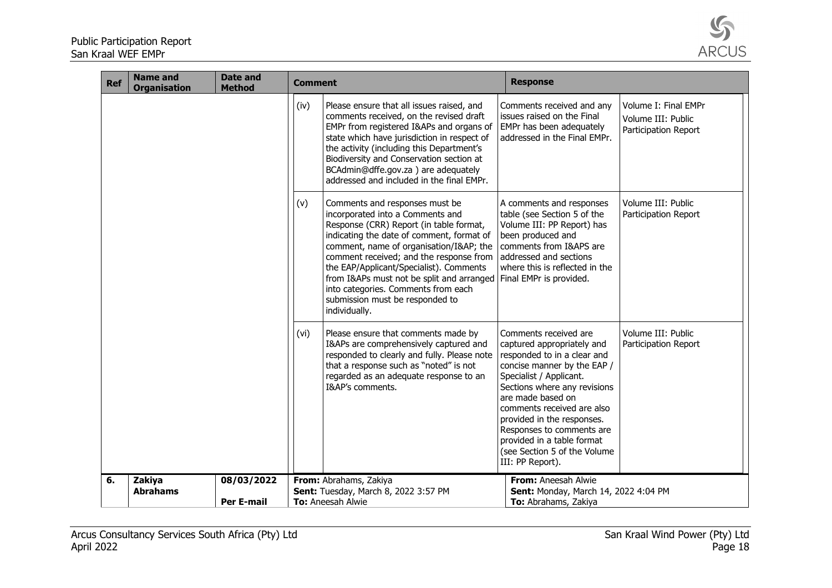

| <b>Ref</b> | <b>Name and</b><br><b>Organisation</b> | <b>Date and</b><br><b>Method</b> | <b>Comment</b> |                                                                                                                                                                                                                                                                                                                                                                                                                                                          | <b>Response</b>                                                                                                                                                                                                                                                                                                                                                              |                                                                    |
|------------|----------------------------------------|----------------------------------|----------------|----------------------------------------------------------------------------------------------------------------------------------------------------------------------------------------------------------------------------------------------------------------------------------------------------------------------------------------------------------------------------------------------------------------------------------------------------------|------------------------------------------------------------------------------------------------------------------------------------------------------------------------------------------------------------------------------------------------------------------------------------------------------------------------------------------------------------------------------|--------------------------------------------------------------------|
|            |                                        |                                  | (iv)           | Please ensure that all issues raised, and<br>comments received, on the revised draft<br>EMPr from registered I&APs and organs of<br>state which have jurisdiction in respect of<br>the activity (including this Department's<br>Biodiversity and Conservation section at<br>BCAdmin@dffe.gov.za) are adequately<br>addressed and included in the final EMPr.                                                                                             | Comments received and any<br>issues raised on the Final<br>EMPr has been adequately<br>addressed in the Final EMPr.                                                                                                                                                                                                                                                          | Volume I: Final EMPr<br>Volume III: Public<br>Participation Report |
|            |                                        |                                  | (v)            | Comments and responses must be<br>incorporated into a Comments and<br>Response (CRR) Report (in table format,<br>indicating the date of comment, format of<br>comment, name of organisation/I≈ the<br>comment received; and the response from<br>the EAP/Applicant/Specialist). Comments<br>from I&APs must not be split and arranged Final EMPr is provided.<br>into categories. Comments from each<br>submission must be responded to<br>individually. | A comments and responses<br>table (see Section 5 of the<br>Volume III: PP Report) has<br>been produced and<br>comments from I&APS are<br>addressed and sections<br>where this is reflected in the                                                                                                                                                                            | Volume III: Public<br>Participation Report                         |
|            |                                        |                                  | (vi)           | Please ensure that comments made by<br>I&APs are comprehensively captured and<br>responded to clearly and fully. Please note<br>that a response such as "noted" is not<br>regarded as an adequate response to an<br>I&AP's comments.                                                                                                                                                                                                                     | Comments received are<br>captured appropriately and<br>responded to in a clear and<br>concise manner by the EAP /<br>Specialist / Applicant.<br>Sections where any revisions<br>are made based on<br>comments received are also<br>provided in the responses.<br>Responses to comments are<br>provided in a table format<br>(see Section 5 of the Volume<br>III: PP Report). | Volume III: Public<br>Participation Report                         |
| 6.         | Zakiya                                 | 08/03/2022                       |                | From: Abrahams, Zakiya                                                                                                                                                                                                                                                                                                                                                                                                                                   | From: Aneesah Alwie                                                                                                                                                                                                                                                                                                                                                          |                                                                    |
|            | <b>Abrahams</b>                        | <b>Per E-mail</b>                |                | Sent: Tuesday, March 8, 2022 3:57 PM<br>To: Aneesah Alwie                                                                                                                                                                                                                                                                                                                                                                                                | Sent: Monday, March 14, 2022 4:04 PM<br>To: Abrahams, Zakiya                                                                                                                                                                                                                                                                                                                 |                                                                    |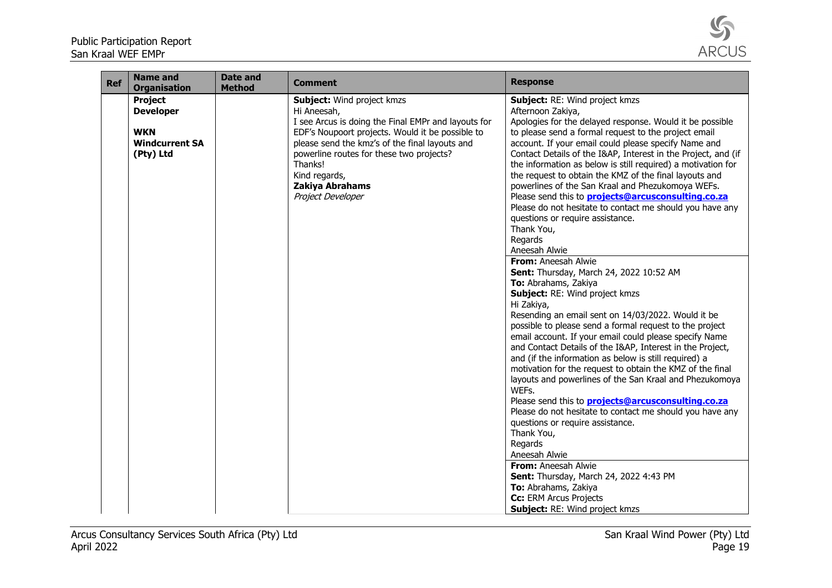

| <b>Ref</b> | <b>Name and</b><br><b>Organisation</b>                                          | <b>Date and</b><br><b>Method</b> | <b>Comment</b>                                                                                                                                                                                                                                                                                                                | <b>Response</b>                                                                                                                                                                                                                                                                                                                                                                                                                                                                                                                                                                                                                                                                                                                                                                                                                                                                                                                                                                                                                                                                                                                                                                                                                                                                                                                                                                                                                                                                                                                                                                                                                |
|------------|---------------------------------------------------------------------------------|----------------------------------|-------------------------------------------------------------------------------------------------------------------------------------------------------------------------------------------------------------------------------------------------------------------------------------------------------------------------------|--------------------------------------------------------------------------------------------------------------------------------------------------------------------------------------------------------------------------------------------------------------------------------------------------------------------------------------------------------------------------------------------------------------------------------------------------------------------------------------------------------------------------------------------------------------------------------------------------------------------------------------------------------------------------------------------------------------------------------------------------------------------------------------------------------------------------------------------------------------------------------------------------------------------------------------------------------------------------------------------------------------------------------------------------------------------------------------------------------------------------------------------------------------------------------------------------------------------------------------------------------------------------------------------------------------------------------------------------------------------------------------------------------------------------------------------------------------------------------------------------------------------------------------------------------------------------------------------------------------------------------|
|            | Project<br><b>Developer</b><br><b>WKN</b><br><b>Windcurrent SA</b><br>(Pty) Ltd |                                  | <b>Subject:</b> Wind project kmzs<br>Hi Aneesah,<br>I see Arcus is doing the Final EMPr and layouts for<br>EDF's Noupoort projects. Would it be possible to<br>please send the kmz's of the final layouts and<br>powerline routes for these two projects?<br>Thanks!<br>Kind regards,<br>Zakiya Abrahams<br>Project Developer | Subject: RE: Wind project kmzs<br>Afternoon Zakiya,<br>Apologies for the delayed response. Would it be possible<br>to please send a formal request to the project email<br>account. If your email could please specify Name and<br>Contact Details of the I&AP, Interest in the Project, and (if<br>the information as below is still required) a motivation for<br>the request to obtain the KMZ of the final layouts and<br>powerlines of the San Kraal and Phezukomoya WEFs.<br>Please send this to <b>projects@arcusconsulting.co.za</b><br>Please do not hesitate to contact me should you have any<br>questions or require assistance.<br>Thank You,<br>Regards<br>Aneesah Alwie<br>From: Aneesah Alwie<br>Sent: Thursday, March 24, 2022 10:52 AM<br>To: Abrahams, Zakiya<br>Subject: RE: Wind project kmzs<br>Hi Zakiya,<br>Resending an email sent on 14/03/2022. Would it be<br>possible to please send a formal request to the project<br>email account. If your email could please specify Name<br>and Contact Details of the I&AP, Interest in the Project,<br>and (if the information as below is still required) a<br>motivation for the request to obtain the KMZ of the final<br>layouts and powerlines of the San Kraal and Phezukomoya<br>WEFs.<br>Please send this to <b>projects@arcusconsulting.co.za</b><br>Please do not hesitate to contact me should you have any<br>questions or require assistance.<br>Thank You,<br>Regards<br>Aneesah Alwie<br>From: Aneesah Alwie<br>Sent: Thursday, March 24, 2022 4:43 PM<br>To: Abrahams, Zakiya<br>Cc: ERM Arcus Projects<br>Subject: RE: Wind project kmzs |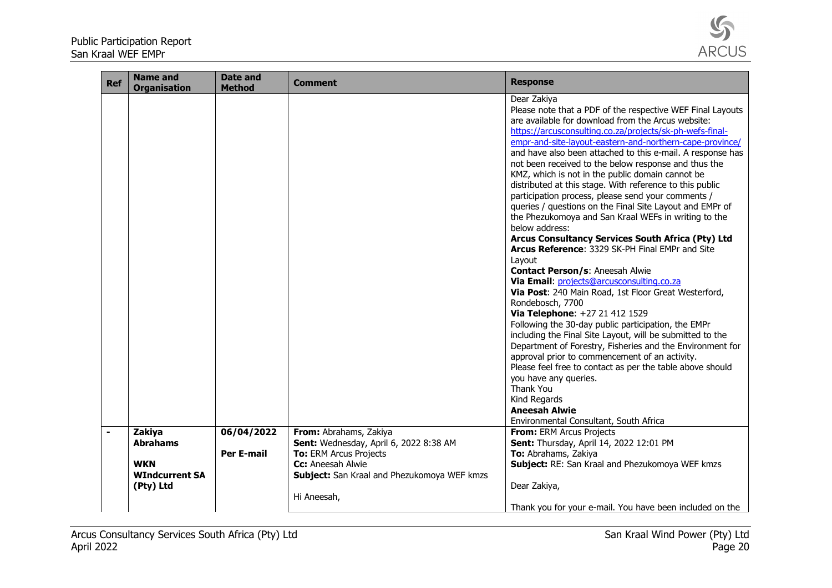

| <b>Ref</b> | <b>Name and</b><br><b>Organisation</b> | <b>Date and</b><br><b>Method</b> | <b>Comment</b>                                                   | <b>Response</b>                                                                                                                                                                                                                                                                                                                                                                                                                                                                                                                                                                                                                                                                                                                                                                                                                                                                                                                                                                                                                                                                                                                                                                                                                                                                                                                                                                                                                          |
|------------|----------------------------------------|----------------------------------|------------------------------------------------------------------|------------------------------------------------------------------------------------------------------------------------------------------------------------------------------------------------------------------------------------------------------------------------------------------------------------------------------------------------------------------------------------------------------------------------------------------------------------------------------------------------------------------------------------------------------------------------------------------------------------------------------------------------------------------------------------------------------------------------------------------------------------------------------------------------------------------------------------------------------------------------------------------------------------------------------------------------------------------------------------------------------------------------------------------------------------------------------------------------------------------------------------------------------------------------------------------------------------------------------------------------------------------------------------------------------------------------------------------------------------------------------------------------------------------------------------------|
|            |                                        |                                  |                                                                  | Dear Zakiya<br>Please note that a PDF of the respective WEF Final Layouts<br>are available for download from the Arcus website:<br>https://arcusconsulting.co.za/projects/sk-ph-wefs-final-<br>empr-and-site-layout-eastern-and-northern-cape-province/<br>and have also been attached to this e-mail. A response has<br>not been received to the below response and thus the<br>KMZ, which is not in the public domain cannot be<br>distributed at this stage. With reference to this public<br>participation process, please send your comments /<br>queries / questions on the Final Site Layout and EMPr of<br>the Phezukomoya and San Kraal WEFs in writing to the<br>below address:<br>Arcus Consultancy Services South Africa (Pty) Ltd<br>Arcus Reference: 3329 SK-PH Final EMPr and Site<br>Layout<br><b>Contact Person/s: Aneesah Alwie</b><br>Via Email: projects@arcusconsulting.co.za<br>Via Post: 240 Main Road, 1st Floor Great Westerford,<br>Rondebosch, 7700<br>Via Telephone: +27 21 412 1529<br>Following the 30-day public participation, the EMPr<br>including the Final Site Layout, will be submitted to the<br>Department of Forestry, Fisheries and the Environment for<br>approval prior to commencement of an activity.<br>Please feel free to contact as per the table above should<br>you have any queries.<br>Thank You<br>Kind Regards<br><b>Aneesah Alwie</b><br>Environmental Consultant, South Africa |
|            | Zakiya                                 | 06/04/2022                       | From: Abrahams, Zakiya                                           | From: ERM Arcus Projects                                                                                                                                                                                                                                                                                                                                                                                                                                                                                                                                                                                                                                                                                                                                                                                                                                                                                                                                                                                                                                                                                                                                                                                                                                                                                                                                                                                                                 |
|            | <b>Abrahams</b>                        | <b>Per E-mail</b>                | Sent: Wednesday, April 6, 2022 8:38 AM<br>To: ERM Arcus Projects | Sent: Thursday, April 14, 2022 12:01 PM<br>To: Abrahams, Zakiya                                                                                                                                                                                                                                                                                                                                                                                                                                                                                                                                                                                                                                                                                                                                                                                                                                                                                                                                                                                                                                                                                                                                                                                                                                                                                                                                                                          |
|            | <b>WKN</b>                             |                                  | Cc: Aneesah Alwie                                                | Subject: RE: San Kraal and Phezukomoya WEF kmzs                                                                                                                                                                                                                                                                                                                                                                                                                                                                                                                                                                                                                                                                                                                                                                                                                                                                                                                                                                                                                                                                                                                                                                                                                                                                                                                                                                                          |
|            | <b>WIndcurrent SA</b>                  |                                  | Subject: San Kraal and Phezukomoya WEF kmzs                      |                                                                                                                                                                                                                                                                                                                                                                                                                                                                                                                                                                                                                                                                                                                                                                                                                                                                                                                                                                                                                                                                                                                                                                                                                                                                                                                                                                                                                                          |
|            | (Pty) Ltd                              |                                  |                                                                  | Dear Zakiya,                                                                                                                                                                                                                                                                                                                                                                                                                                                                                                                                                                                                                                                                                                                                                                                                                                                                                                                                                                                                                                                                                                                                                                                                                                                                                                                                                                                                                             |
|            |                                        |                                  | Hi Aneesah,                                                      |                                                                                                                                                                                                                                                                                                                                                                                                                                                                                                                                                                                                                                                                                                                                                                                                                                                                                                                                                                                                                                                                                                                                                                                                                                                                                                                                                                                                                                          |
|            |                                        |                                  |                                                                  | Thank you for your e-mail. You have been included on the                                                                                                                                                                                                                                                                                                                                                                                                                                                                                                                                                                                                                                                                                                                                                                                                                                                                                                                                                                                                                                                                                                                                                                                                                                                                                                                                                                                 |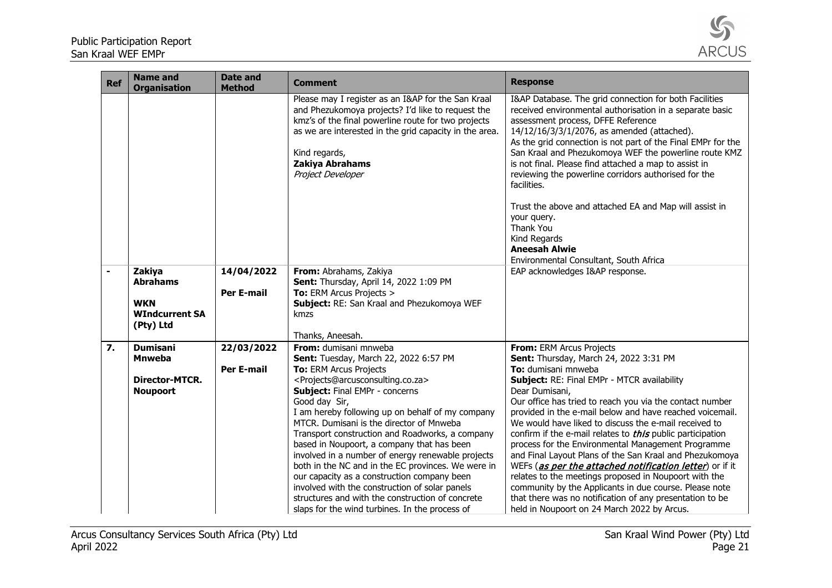

| <b>Ref</b> | <b>Name and</b><br><b>Organisation</b> | <b>Date and</b><br><b>Method</b> | <b>Comment</b>                                                                                                                                                                                                                                                                    | <b>Response</b>                                                                                                                                                                                                                                                                                                                                                                                                                                                                                                                                                                                |
|------------|----------------------------------------|----------------------------------|-----------------------------------------------------------------------------------------------------------------------------------------------------------------------------------------------------------------------------------------------------------------------------------|------------------------------------------------------------------------------------------------------------------------------------------------------------------------------------------------------------------------------------------------------------------------------------------------------------------------------------------------------------------------------------------------------------------------------------------------------------------------------------------------------------------------------------------------------------------------------------------------|
|            |                                        |                                  | Please may I register as an I&AP for the San Kraal<br>and Phezukomoya projects? I'd like to request the<br>kmz's of the final powerline route for two projects<br>as we are interested in the grid capacity in the area.<br>Kind regards,<br>Zakiya Abrahams<br>Project Developer | I&AP Database. The grid connection for both Facilities<br>received environmental authorisation in a separate basic<br>assessment process, DFFE Reference<br>14/12/16/3/3/1/2076, as amended (attached).<br>As the grid connection is not part of the Final EMPr for the<br>San Kraal and Phezukomoya WEF the powerline route KMZ<br>is not final. Please find attached a map to assist in<br>reviewing the powerline corridors authorised for the<br>facilities.<br>Trust the above and attached EA and Map will assist in<br>your query.<br>Thank You<br>Kind Regards<br><b>Aneesah Alwie</b> |
|            |                                        |                                  |                                                                                                                                                                                                                                                                                   | Environmental Consultant, South Africa                                                                                                                                                                                                                                                                                                                                                                                                                                                                                                                                                         |
|            | Zakiya                                 | 14/04/2022                       | From: Abrahams, Zakiya                                                                                                                                                                                                                                                            | EAP acknowledges I&AP response.                                                                                                                                                                                                                                                                                                                                                                                                                                                                                                                                                                |
|            | <b>Abrahams</b>                        |                                  | Sent: Thursday, April 14, 2022 1:09 PM                                                                                                                                                                                                                                            |                                                                                                                                                                                                                                                                                                                                                                                                                                                                                                                                                                                                |
|            | <b>WKN</b>                             | <b>Per E-mail</b>                | To: ERM Arcus Projects ><br>Subject: RE: San Kraal and Phezukomoya WEF                                                                                                                                                                                                            |                                                                                                                                                                                                                                                                                                                                                                                                                                                                                                                                                                                                |
|            | <b>WIndcurrent SA</b>                  |                                  | kmzs                                                                                                                                                                                                                                                                              |                                                                                                                                                                                                                                                                                                                                                                                                                                                                                                                                                                                                |
|            | (Pty) Ltd                              |                                  |                                                                                                                                                                                                                                                                                   |                                                                                                                                                                                                                                                                                                                                                                                                                                                                                                                                                                                                |
|            |                                        |                                  | Thanks, Aneesah.                                                                                                                                                                                                                                                                  |                                                                                                                                                                                                                                                                                                                                                                                                                                                                                                                                                                                                |
| 7.         | <b>Dumisani</b>                        | 22/03/2022                       | From: dumisani mnweba                                                                                                                                                                                                                                                             | From: ERM Arcus Projects                                                                                                                                                                                                                                                                                                                                                                                                                                                                                                                                                                       |
|            | <b>Mnweba</b>                          |                                  | Sent: Tuesday, March 22, 2022 6:57 PM                                                                                                                                                                                                                                             | Sent: Thursday, March 24, 2022 3:31 PM                                                                                                                                                                                                                                                                                                                                                                                                                                                                                                                                                         |
|            |                                        | <b>Per E-mail</b>                | To: ERM Arcus Projects                                                                                                                                                                                                                                                            | To: dumisani mnweba                                                                                                                                                                                                                                                                                                                                                                                                                                                                                                                                                                            |
|            | <b>Director-MTCR.</b>                  |                                  | <projects@arcusconsulting.co.za></projects@arcusconsulting.co.za>                                                                                                                                                                                                                 | Subject: RE: Final EMPr - MTCR availability                                                                                                                                                                                                                                                                                                                                                                                                                                                                                                                                                    |
|            | <b>Noupoort</b>                        |                                  | <b>Subject: Final EMPr - concerns</b>                                                                                                                                                                                                                                             | Dear Dumisani,                                                                                                                                                                                                                                                                                                                                                                                                                                                                                                                                                                                 |
|            |                                        |                                  | Good day Sir,                                                                                                                                                                                                                                                                     | Our office has tried to reach you via the contact number                                                                                                                                                                                                                                                                                                                                                                                                                                                                                                                                       |
|            |                                        |                                  | I am hereby following up on behalf of my company                                                                                                                                                                                                                                  | provided in the e-mail below and have reached voicemail.                                                                                                                                                                                                                                                                                                                                                                                                                                                                                                                                       |
|            |                                        |                                  | MTCR. Dumisani is the director of Mnweba                                                                                                                                                                                                                                          | We would have liked to discuss the e-mail received to                                                                                                                                                                                                                                                                                                                                                                                                                                                                                                                                          |
|            |                                        |                                  | Transport construction and Roadworks, a company                                                                                                                                                                                                                                   | confirm if the e-mail relates to <i>this</i> public participation                                                                                                                                                                                                                                                                                                                                                                                                                                                                                                                              |
|            |                                        |                                  | based in Noupoort, a company that has been<br>involved in a number of energy renewable projects                                                                                                                                                                                   | process for the Environmental Management Programme<br>and Final Layout Plans of the San Kraal and Phezukomoya                                                                                                                                                                                                                                                                                                                                                                                                                                                                                  |
|            |                                        |                                  | both in the NC and in the EC provinces. We were in                                                                                                                                                                                                                                | WEFs (as per the attached notification letter) or if it                                                                                                                                                                                                                                                                                                                                                                                                                                                                                                                                        |
|            |                                        |                                  | our capacity as a construction company been                                                                                                                                                                                                                                       | relates to the meetings proposed in Noupoort with the                                                                                                                                                                                                                                                                                                                                                                                                                                                                                                                                          |
|            |                                        |                                  | involved with the construction of solar panels                                                                                                                                                                                                                                    | community by the Applicants in due course. Please note                                                                                                                                                                                                                                                                                                                                                                                                                                                                                                                                         |
|            |                                        |                                  | structures and with the construction of concrete                                                                                                                                                                                                                                  | that there was no notification of any presentation to be                                                                                                                                                                                                                                                                                                                                                                                                                                                                                                                                       |
|            |                                        |                                  | slaps for the wind turbines. In the process of                                                                                                                                                                                                                                    | held in Noupoort on 24 March 2022 by Arcus.                                                                                                                                                                                                                                                                                                                                                                                                                                                                                                                                                    |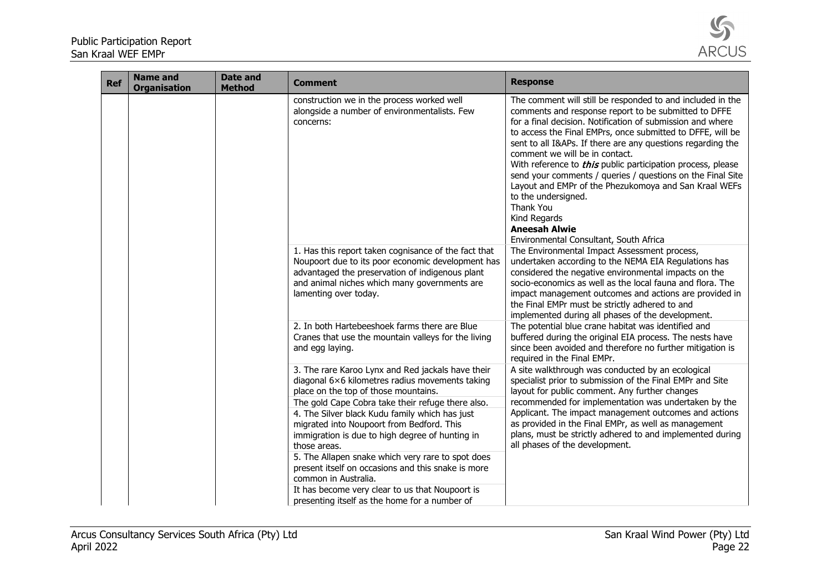

| <b>Ref</b> | <b>Name and</b><br><b>Organisation</b> | <b>Date and</b><br><b>Method</b> | <b>Comment</b>                                                                                                                                                                                                                                                                                                                                                                                                                                                                                                                                                                                             | <b>Response</b>                                                                                                                                                                                                                                                                                                                                                                                                                                                                                                                                                                                                                                                    |
|------------|----------------------------------------|----------------------------------|------------------------------------------------------------------------------------------------------------------------------------------------------------------------------------------------------------------------------------------------------------------------------------------------------------------------------------------------------------------------------------------------------------------------------------------------------------------------------------------------------------------------------------------------------------------------------------------------------------|--------------------------------------------------------------------------------------------------------------------------------------------------------------------------------------------------------------------------------------------------------------------------------------------------------------------------------------------------------------------------------------------------------------------------------------------------------------------------------------------------------------------------------------------------------------------------------------------------------------------------------------------------------------------|
|            |                                        |                                  | construction we in the process worked well<br>alongside a number of environmentalists. Few<br>concerns:                                                                                                                                                                                                                                                                                                                                                                                                                                                                                                    | The comment will still be responded to and included in the<br>comments and response report to be submitted to DFFE<br>for a final decision. Notification of submission and where<br>to access the Final EMPrs, once submitted to DFFE, will be<br>sent to all I&APs. If there are any questions regarding the<br>comment we will be in contact.<br>With reference to <i>this</i> public participation process, please<br>send your comments / queries / questions on the Final Site<br>Layout and EMPr of the Phezukomoya and San Kraal WEFs<br>to the undersigned.<br>Thank You<br>Kind Regards<br><b>Aneesah Alwie</b><br>Environmental Consultant, South Africa |
|            |                                        |                                  | 1. Has this report taken cognisance of the fact that<br>Noupoort due to its poor economic development has<br>advantaged the preservation of indigenous plant<br>and animal niches which many governments are<br>lamenting over today.                                                                                                                                                                                                                                                                                                                                                                      | The Environmental Impact Assessment process,<br>undertaken according to the NEMA EIA Regulations has<br>considered the negative environmental impacts on the<br>socio-economics as well as the local fauna and flora. The<br>impact management outcomes and actions are provided in<br>the Final EMPr must be strictly adhered to and<br>implemented during all phases of the development.                                                                                                                                                                                                                                                                         |
|            |                                        |                                  | 2. In both Hartebeeshoek farms there are Blue<br>Cranes that use the mountain valleys for the living<br>and egg laying.                                                                                                                                                                                                                                                                                                                                                                                                                                                                                    | The potential blue crane habitat was identified and<br>buffered during the original EIA process. The nests have<br>since been avoided and therefore no further mitigation is<br>required in the Final EMPr.                                                                                                                                                                                                                                                                                                                                                                                                                                                        |
|            |                                        |                                  | 3. The rare Karoo Lynx and Red jackals have their<br>diagonal 6×6 kilometres radius movements taking<br>place on the top of those mountains.<br>The gold Cape Cobra take their refuge there also.<br>4. The Silver black Kudu family which has just<br>migrated into Noupoort from Bedford. This<br>immigration is due to high degree of hunting in<br>those areas.<br>5. The Allapen snake which very rare to spot does<br>present itself on occasions and this snake is more<br>common in Australia.<br>It has become very clear to us that Noupoort is<br>presenting itself as the home for a number of | A site walkthrough was conducted by an ecological<br>specialist prior to submission of the Final EMPr and Site<br>layout for public comment. Any further changes<br>recommended for implementation was undertaken by the<br>Applicant. The impact management outcomes and actions<br>as provided in the Final EMPr, as well as management<br>plans, must be strictly adhered to and implemented during<br>all phases of the development.                                                                                                                                                                                                                           |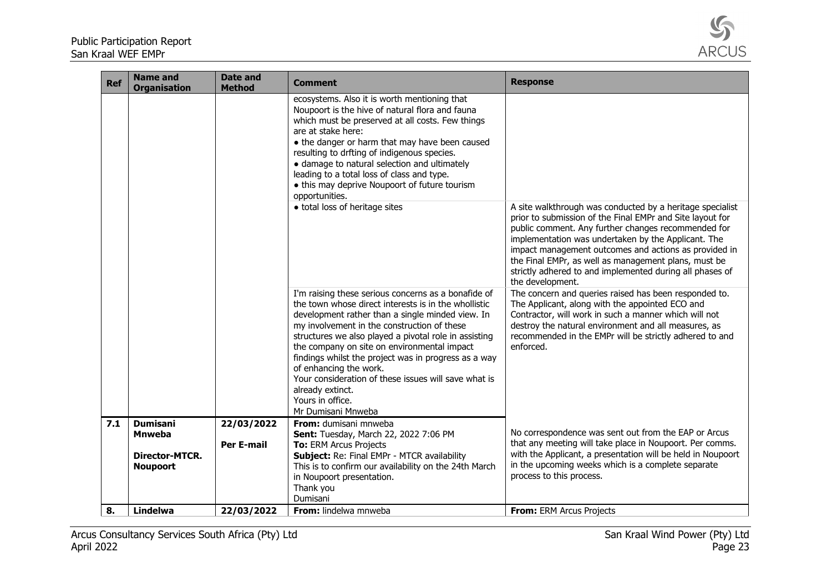

| <b>Ref</b> | <b>Name and</b><br><b>Organisation</b> | <b>Date and</b><br><b>Method</b> | Comment                                                                                                                                                                                                                                                                                                                                                                                                                                                                                                                        | <b>Response</b>                                                                                                                                                                                                                                                                                                                                                                                                                       |
|------------|----------------------------------------|----------------------------------|--------------------------------------------------------------------------------------------------------------------------------------------------------------------------------------------------------------------------------------------------------------------------------------------------------------------------------------------------------------------------------------------------------------------------------------------------------------------------------------------------------------------------------|---------------------------------------------------------------------------------------------------------------------------------------------------------------------------------------------------------------------------------------------------------------------------------------------------------------------------------------------------------------------------------------------------------------------------------------|
|            |                                        |                                  | ecosystems. Also it is worth mentioning that<br>Noupoort is the hive of natural flora and fauna<br>which must be preserved at all costs. Few things<br>are at stake here:<br>• the danger or harm that may have been caused<br>resulting to drfting of indigenous species.<br>· damage to natural selection and ultimately<br>leading to a total loss of class and type.<br>• this may deprive Noupoort of future tourism<br>opportunities.<br>· total loss of heritage sites                                                  | A site walkthrough was conducted by a heritage specialist<br>prior to submission of the Final EMPr and Site layout for<br>public comment. Any further changes recommended for<br>implementation was undertaken by the Applicant. The<br>impact management outcomes and actions as provided in<br>the Final EMPr, as well as management plans, must be<br>strictly adhered to and implemented during all phases of<br>the development. |
|            |                                        |                                  | I'm raising these serious concerns as a bonafide of<br>the town whose direct interests is in the whollistic<br>development rather than a single minded view. In<br>my involvement in the construction of these<br>structures we also played a pivotal role in assisting<br>the company on site on environmental impact<br>findings whilst the project was in progress as a way<br>of enhancing the work.<br>Your consideration of these issues will save what is<br>already extinct.<br>Yours in office.<br>Mr Dumisani Mnweba | The concern and queries raised has been responded to.<br>The Applicant, along with the appointed ECO and<br>Contractor, will work in such a manner which will not<br>destroy the natural environment and all measures, as<br>recommended in the EMPr will be strictly adhered to and<br>enforced.                                                                                                                                     |
| 7.1        | <b>Dumisani</b>                        | 22/03/2022                       | From: dumisani mnweba                                                                                                                                                                                                                                                                                                                                                                                                                                                                                                          |                                                                                                                                                                                                                                                                                                                                                                                                                                       |
|            | <b>Mnweba</b>                          |                                  | Sent: Tuesday, March 22, 2022 7:06 PM                                                                                                                                                                                                                                                                                                                                                                                                                                                                                          | No correspondence was sent out from the EAP or Arcus                                                                                                                                                                                                                                                                                                                                                                                  |
|            | <b>Director-MTCR.</b>                  | <b>Per E-mail</b>                | To: ERM Arcus Projects<br>Subject: Re: Final EMPr - MTCR availability                                                                                                                                                                                                                                                                                                                                                                                                                                                          | that any meeting will take place in Noupoort. Per comms.<br>with the Applicant, a presentation will be held in Noupoort                                                                                                                                                                                                                                                                                                               |
|            | <b>Noupoort</b>                        |                                  | This is to confirm our availability on the 24th March                                                                                                                                                                                                                                                                                                                                                                                                                                                                          | in the upcoming weeks which is a complete separate                                                                                                                                                                                                                                                                                                                                                                                    |
|            |                                        |                                  | in Noupoort presentation.                                                                                                                                                                                                                                                                                                                                                                                                                                                                                                      | process to this process.                                                                                                                                                                                                                                                                                                                                                                                                              |
|            |                                        |                                  | Thank you                                                                                                                                                                                                                                                                                                                                                                                                                                                                                                                      |                                                                                                                                                                                                                                                                                                                                                                                                                                       |
|            |                                        |                                  | Dumisani                                                                                                                                                                                                                                                                                                                                                                                                                                                                                                                       |                                                                                                                                                                                                                                                                                                                                                                                                                                       |
| 8.         | Lindelwa                               | 22/03/2022                       | From: lindelwa mnweba                                                                                                                                                                                                                                                                                                                                                                                                                                                                                                          | <b>From: ERM Arcus Projects</b>                                                                                                                                                                                                                                                                                                                                                                                                       |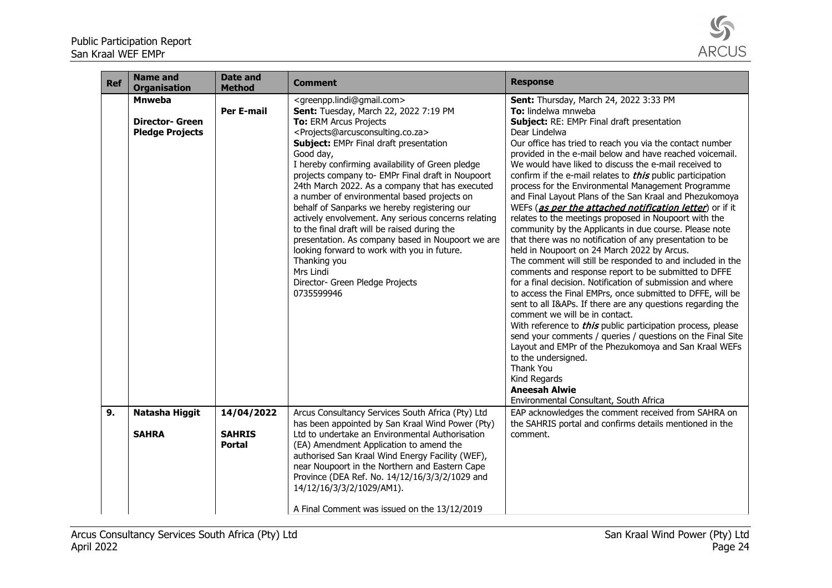

| <b>Ref</b> | <b>Name and</b><br><b>Organisation</b>                            | <b>Date and</b><br><b>Method</b> | <b>Comment</b>                                                                                                                                                                                                                                                                                                                                                                                                                                                                                                                                                                                                                                                                                                                                                                                                           | <b>Response</b>                                                                                                                                                                                                                                                                                                                                                                                                                                                                                                                                                                                                                                                                                                                                                                                                                                                                                                                                                                                                                                                                                                                                                                                                                                                                                                                                                                                                                                                    |
|------------|-------------------------------------------------------------------|----------------------------------|--------------------------------------------------------------------------------------------------------------------------------------------------------------------------------------------------------------------------------------------------------------------------------------------------------------------------------------------------------------------------------------------------------------------------------------------------------------------------------------------------------------------------------------------------------------------------------------------------------------------------------------------------------------------------------------------------------------------------------------------------------------------------------------------------------------------------|--------------------------------------------------------------------------------------------------------------------------------------------------------------------------------------------------------------------------------------------------------------------------------------------------------------------------------------------------------------------------------------------------------------------------------------------------------------------------------------------------------------------------------------------------------------------------------------------------------------------------------------------------------------------------------------------------------------------------------------------------------------------------------------------------------------------------------------------------------------------------------------------------------------------------------------------------------------------------------------------------------------------------------------------------------------------------------------------------------------------------------------------------------------------------------------------------------------------------------------------------------------------------------------------------------------------------------------------------------------------------------------------------------------------------------------------------------------------|
|            | <b>Mnweba</b><br><b>Director- Green</b><br><b>Pledge Projects</b> | <b>Per E-mail</b>                | <greenpp.lindi@gmail.com><br/>Sent: Tuesday, March 22, 2022 7:19 PM<br/>To: ERM Arcus Projects<br/><projects@arcusconsulting.co.za><br/>Subject: EMPr Final draft presentation<br/>Good day,<br/>I hereby confirming availability of Green pledge<br/>projects company to- EMPr Final draft in Noupoort<br/>24th March 2022. As a company that has executed<br/>a number of environmental based projects on<br/>behalf of Sanparks we hereby registering our<br/>actively envolvement. Any serious concerns relating<br/>to the final draft will be raised during the<br/>presentation. As company based in Noupoort we are<br/>looking forward to work with you in future.<br/>Thanking you<br/>Mrs Lindi<br/>Director- Green Pledge Projects<br/>0735599946</projects@arcusconsulting.co.za></greenpp.lindi@gmail.com> | Sent: Thursday, March 24, 2022 3:33 PM<br>To: lindelwa mnweba<br>Subject: RE: EMPr Final draft presentation<br>Dear Lindelwa<br>Our office has tried to reach you via the contact number<br>provided in the e-mail below and have reached voicemail.<br>We would have liked to discuss the e-mail received to<br>confirm if the e-mail relates to <i>this</i> public participation<br>process for the Environmental Management Programme<br>and Final Layout Plans of the San Kraal and Phezukomoya<br>WEFs (as per the attached notification letter) or if it<br>relates to the meetings proposed in Noupoort with the<br>community by the Applicants in due course. Please note<br>that there was no notification of any presentation to be<br>held in Noupoort on 24 March 2022 by Arcus.<br>The comment will still be responded to and included in the<br>comments and response report to be submitted to DFFE<br>for a final decision. Notification of submission and where<br>to access the Final EMPrs, once submitted to DFFE, will be<br>sent to all I&APs. If there are any questions regarding the<br>comment we will be in contact.<br>With reference to <i>this</i> public participation process, please<br>send your comments / queries / questions on the Final Site<br>Layout and EMPr of the Phezukomoya and San Kraal WEFs<br>to the undersigned.<br>Thank You<br>Kind Regards<br><b>Aneesah Alwie</b><br>Environmental Consultant, South Africa |
| 9.         | Natasha Higgit                                                    | 14/04/2022                       | Arcus Consultancy Services South Africa (Pty) Ltd<br>has been appointed by San Kraal Wind Power (Pty)                                                                                                                                                                                                                                                                                                                                                                                                                                                                                                                                                                                                                                                                                                                    | EAP acknowledges the comment received from SAHRA on<br>the SAHRIS portal and confirms details mentioned in the                                                                                                                                                                                                                                                                                                                                                                                                                                                                                                                                                                                                                                                                                                                                                                                                                                                                                                                                                                                                                                                                                                                                                                                                                                                                                                                                                     |
|            | <b>SAHRA</b>                                                      | <b>SAHRIS</b><br><b>Portal</b>   | Ltd to undertake an Environmental Authorisation<br>(EA) Amendment Application to amend the<br>authorised San Kraal Wind Energy Facility (WEF),<br>near Noupoort in the Northern and Eastern Cape<br>Province (DEA Ref. No. 14/12/16/3/3/2/1029 and<br>14/12/16/3/3/2/1029/AM1).<br>A Final Comment was issued on the 13/12/2019                                                                                                                                                                                                                                                                                                                                                                                                                                                                                          | comment.                                                                                                                                                                                                                                                                                                                                                                                                                                                                                                                                                                                                                                                                                                                                                                                                                                                                                                                                                                                                                                                                                                                                                                                                                                                                                                                                                                                                                                                           |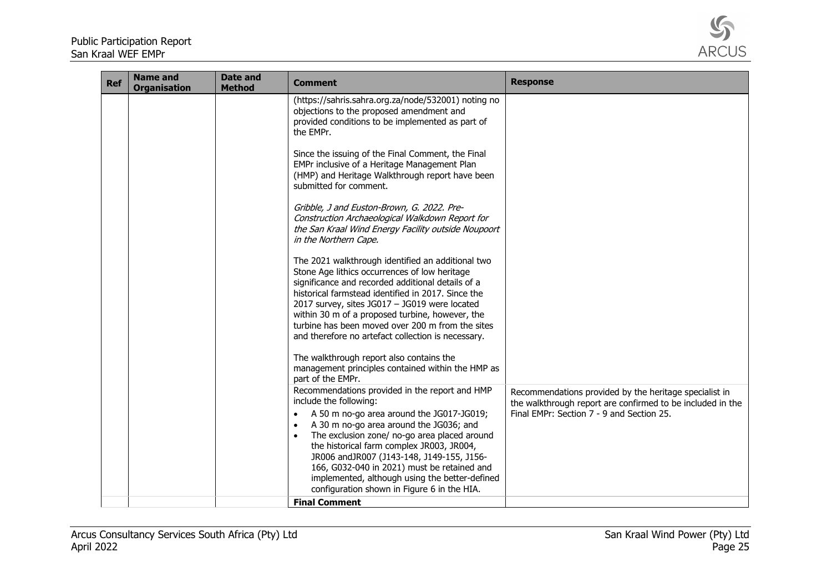

| <b>Ref</b> | <b>Name and</b><br><b>Organisation</b> | Date and<br><b>Method</b> | <b>Comment</b>                                                                                                                                                                                                                                                                                                                                                                                                                                                                        | <b>Response</b>                                                                                                                                                   |
|------------|----------------------------------------|---------------------------|---------------------------------------------------------------------------------------------------------------------------------------------------------------------------------------------------------------------------------------------------------------------------------------------------------------------------------------------------------------------------------------------------------------------------------------------------------------------------------------|-------------------------------------------------------------------------------------------------------------------------------------------------------------------|
|            |                                        |                           | (https://sahris.sahra.org.za/node/532001) noting no<br>objections to the proposed amendment and<br>provided conditions to be implemented as part of<br>the EMPr.                                                                                                                                                                                                                                                                                                                      |                                                                                                                                                                   |
|            |                                        |                           | Since the issuing of the Final Comment, the Final<br>EMPr inclusive of a Heritage Management Plan<br>(HMP) and Heritage Walkthrough report have been<br>submitted for comment.                                                                                                                                                                                                                                                                                                        |                                                                                                                                                                   |
|            |                                        |                           | Gribble, J and Euston-Brown, G. 2022. Pre-<br>Construction Archaeological Walkdown Report for<br>the San Kraal Wind Energy Facility outside Noupoort<br>in the Northern Cape.                                                                                                                                                                                                                                                                                                         |                                                                                                                                                                   |
|            |                                        |                           | The 2021 walkthrough identified an additional two<br>Stone Age lithics occurrences of low heritage<br>significance and recorded additional details of a<br>historical farmstead identified in 2017. Since the<br>2017 survey, sites JG017 - JG019 were located<br>within 30 m of a proposed turbine, however, the<br>turbine has been moved over 200 m from the sites<br>and therefore no artefact collection is necessary.                                                           |                                                                                                                                                                   |
|            |                                        |                           | The walkthrough report also contains the<br>management principles contained within the HMP as<br>part of the EMPr.                                                                                                                                                                                                                                                                                                                                                                    |                                                                                                                                                                   |
|            |                                        |                           | Recommendations provided in the report and HMP<br>include the following:<br>A 50 m no-go area around the JG017-JG019;<br>A 30 m no-go area around the JG036; and<br>$\bullet$<br>The exclusion zone/ no-go area placed around<br>$\bullet$<br>the historical farm complex JR003, JR004,<br>JR006 and JR007 (J143-148, J149-155, J156-<br>166, G032-040 in 2021) must be retained and<br>implemented, although using the better-defined<br>configuration shown in Figure 6 in the HIA. | Recommendations provided by the heritage specialist in<br>the walkthrough report are confirmed to be included in the<br>Final EMPr: Section 7 - 9 and Section 25. |
|            |                                        |                           | <b>Final Comment</b>                                                                                                                                                                                                                                                                                                                                                                                                                                                                  |                                                                                                                                                                   |